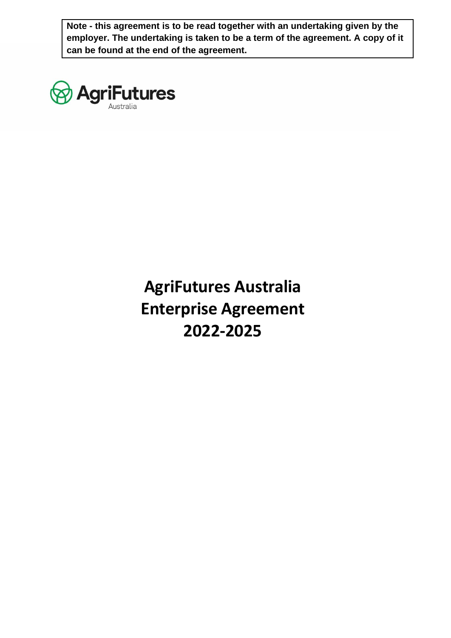**Note - this agreement is to be read together with an undertaking given by the employer. The undertaking is taken to be a term of the agreement. A copy of it can be found at the end of the agreement.**



# **AgriFutures Australia Enterprise Agreement 2022-2025**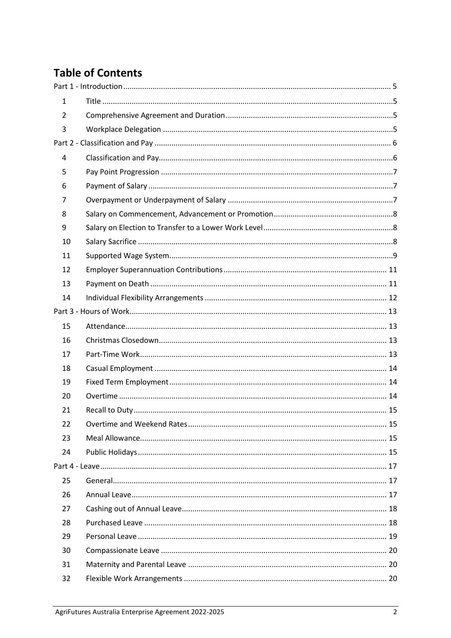# **Table of Contents**

| 1  |  |
|----|--|
| 2  |  |
| 3  |  |
|    |  |
| 4  |  |
| 5  |  |
| 6  |  |
| 7  |  |
| 8  |  |
| 9  |  |
| 10 |  |
| 11 |  |
| 12 |  |
| 13 |  |
| 14 |  |
|    |  |
| 15 |  |
| 16 |  |
| 17 |  |
| 18 |  |
| 19 |  |
| 20 |  |
| 21 |  |
| 22 |  |
| 23 |  |
| 24 |  |
|    |  |
| 25 |  |
| 26 |  |
| 27 |  |
| 28 |  |
| 29 |  |
| 30 |  |
| 31 |  |
| 32 |  |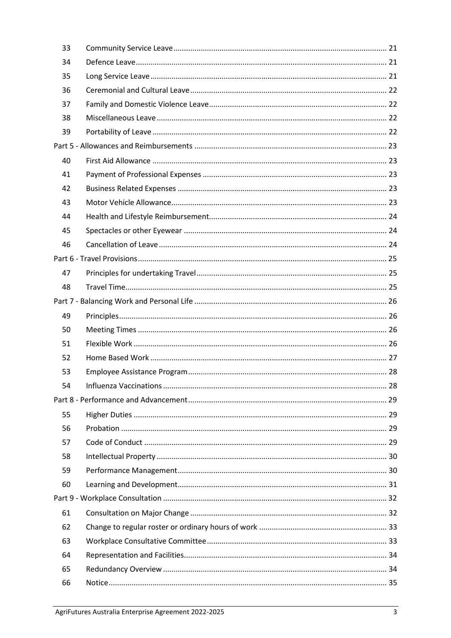| 33 |  |
|----|--|
| 34 |  |
| 35 |  |
| 36 |  |
| 37 |  |
| 38 |  |
| 39 |  |
|    |  |
| 40 |  |
| 41 |  |
| 42 |  |
| 43 |  |
| 44 |  |
| 45 |  |
| 46 |  |
|    |  |
| 47 |  |
| 48 |  |
|    |  |
| 49 |  |
| 50 |  |
| 51 |  |
| 52 |  |
| 53 |  |
| 54 |  |
|    |  |
| 55 |  |
| 56 |  |
| 57 |  |
| 58 |  |
| 59 |  |
| 60 |  |
|    |  |
| 61 |  |
| 62 |  |
| 63 |  |
| 64 |  |
| 65 |  |
| 66 |  |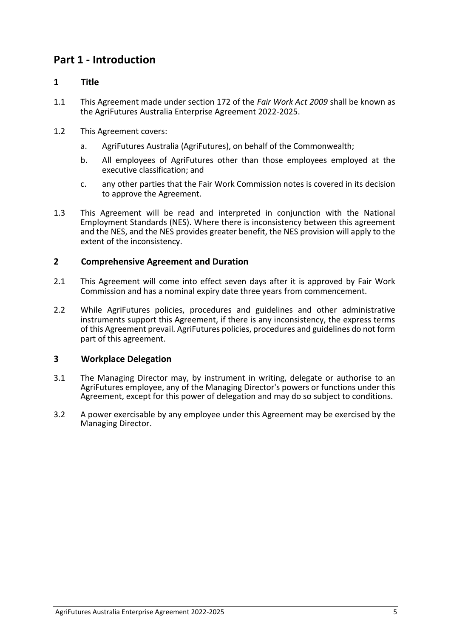# <span id="page-4-0"></span>**Part 1 - Introduction**

#### <span id="page-4-1"></span>**1 Title**

- 1.1 This Agreement made under section 172 of the *Fair Work Act 2009* shall be known as the AgriFutures Australia Enterprise Agreement 2022-2025.
- 1.2 This Agreement covers:
	- a. AgriFutures Australia (AgriFutures), on behalf of the Commonwealth;
	- b. All employees of AgriFutures other than those employees employed at the executive classification; and
	- c. any other parties that the Fair Work Commission notes is covered in its decision to approve the Agreement.
- 1.3 This Agreement will be read and interpreted in conjunction with the National Employment Standards (NES). Where there is inconsistency between this agreement and the NES, and the NES provides greater benefit, the NES provision will apply to the extent of the inconsistency.

#### <span id="page-4-2"></span>**2 Comprehensive Agreement and Duration**

- 2.1 This Agreement will come into effect seven days after it is approved by Fair Work Commission and has a nominal expiry date three years from commencement.
- 2.2 While AgriFutures policies, procedures and guidelines and other administrative instruments support this Agreement, if there is any inconsistency, the express terms of this Agreement prevail. AgriFutures policies, procedures and guidelines do not form part of this agreement.

#### <span id="page-4-3"></span>**3 Workplace Delegation**

- 3.1 The Managing Director may, by instrument in writing, delegate or authorise to an AgriFutures employee, any of the Managing Director's powers or functions under this Agreement, except for this power of delegation and may do so subject to conditions.
- 3.2 A power exercisable by any employee under this Agreement may be exercised by the Managing Director.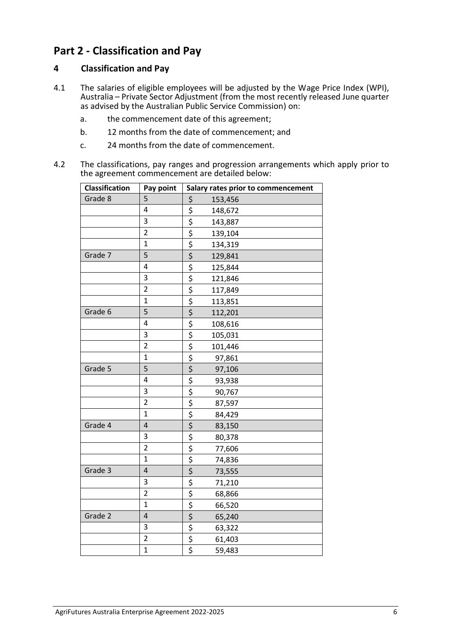# <span id="page-5-0"></span>**Part 2 - Classification and Pay**

#### <span id="page-5-1"></span>**4 Classification and Pay**

- 4.1 The salaries of eligible employees will be adjusted by the Wage Price Index (WPI), Australia – Private Sector Adjustment (from the most recently released June quarter as advised by the Australian Public Service Commission) on:
	- a. the commencement date of this agreement;
	- b. 12 months from the date of commencement; and
	- c. 24 months from the date of commencement.
- 4.2 The classifications, pay ranges and progression arrangements which apply prior to the agreement commencement are detailed below:

| Classification | Pay point      |                                | Salary rates prior to commencement |
|----------------|----------------|--------------------------------|------------------------------------|
| Grade 8        | 5              | \$                             | 153,456                            |
|                | 4              | \$                             | 148,672                            |
|                | 3              | $\overline{\xi}$               | 143,887                            |
|                | $\overline{2}$ |                                | 139,104                            |
|                | $\mathbf{1}$   | $rac{5}{5}$                    | 134,319                            |
| Grade 7        | 5              |                                | 129,841                            |
|                | 4              | $\overline{\xi}$               | 125,844                            |
|                | 3              | $\overline{\xi}$               | 121,846                            |
|                | $\overline{2}$ | $\frac{1}{5}$                  | 117,849                            |
|                | $\mathbf{1}$   | $rac{5}{5}$                    | 113,851                            |
| Grade 6        | 5              |                                | 112,201                            |
|                | 4              |                                | 108,616                            |
|                | 3              | $rac{5}{5}$                    | 105,031                            |
|                | $\overline{2}$ |                                | 101,446                            |
|                | $\overline{1}$ |                                | 97,861                             |
| Grade 5        | 5              | $rac{5}{5}$                    | 97,106                             |
|                | 4              |                                | 93,938                             |
|                | 3              | $\overline{\xi}$               | 90,767                             |
|                | $\overline{2}$ | $\frac{5}{5}$<br>$\frac{5}{5}$ | 87,597                             |
|                | $\overline{1}$ |                                | 84,429                             |
| Grade 4        | 4              |                                | 83,150                             |
|                | 3              | \$                             | 80,378                             |
|                | $\overline{2}$ | $\overline{\boldsymbol{\xi}}$  | 77,606                             |
|                | $\mathbf{1}$   | $rac{5}{5}$                    | 74,836                             |
| Grade 3        | 4              |                                | 73,555                             |
|                | 3              | \$                             | 71,210                             |
|                | $\overline{2}$ | \$                             | 68,866                             |
|                | $\overline{1}$ | $\overline{\boldsymbol{\xi}}$  | 66,520                             |
| Grade 2        | 4              | \$                             | 65,240                             |
|                | 3              | \$                             | 63,322                             |
|                | $\overline{2}$ | $rac{5}{5}$                    | 61,403                             |
|                | $\overline{1}$ |                                | 59,483                             |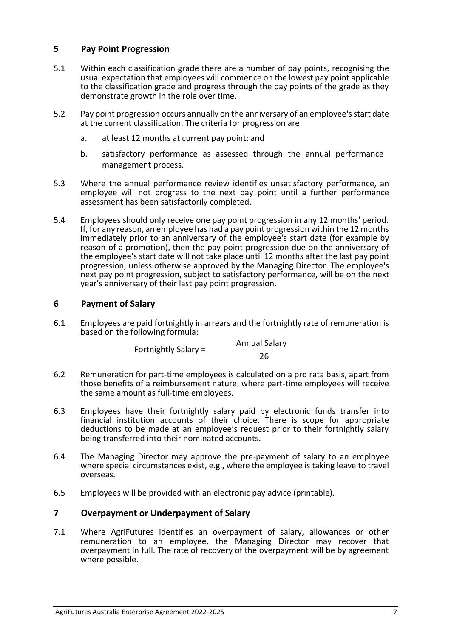#### <span id="page-6-0"></span>**5 Pay Point Progression**

- 5.1 Within each classification grade there are a number of pay points, recognising the usual expectation that employees will commence on the lowest pay point applicable to the classification grade and progress through the pay points of the grade as they demonstrate growth in the role over time.
- 5.2 Pay point progression occurs annually on the anniversary of an employee's start date at the current classification. The criteria for progression are:
	- a. at least 12 months at current pay point; and
	- b. satisfactory performance as assessed through the annual performance management process.
- 5.3 Where the annual performance review identifies unsatisfactory performance, an employee will not progress to the next pay point until a further performance assessment has been satisfactorily completed.
- 5.4 Employees should only receive one pay point progression in any 12 months' period. If, for any reason, an employee has had a pay point progression within the 12 months immediately prior to an anniversary of the employee's start date (for example by reason of a promotion), then the pay point progression due on the anniversary of the employee's start date will not take place until 12 months after the last pay point progression, unless otherwise approved by the Managing Director. The employee's next pay point progression, subject to satisfactory performance, will be on the next year's anniversary of their last pay point progression.

#### <span id="page-6-1"></span>**6 Payment of Salary**

6.1 Employees are paid fortnightly in arrears and the fortnightly rate of remuneration is based on the following formula:

> Fortnightly Salary = Annual Salary  $\overline{26}$

- 6.2 Remuneration for part-time employees is calculated on a pro rata basis, apart from those benefits of a reimbursement nature, where part-time employees will receive the same amount as full-time employees.
- 6.3 Employees have their fortnightly salary paid by electronic funds transfer into financial institution accounts of their choice. There is scope for appropriate deductions to be made at an employee's request prior to their fortnightly salary being transferred into their nominated accounts.
- 6.4 The Managing Director may approve the pre-payment of salary to an employee where special circumstances exist, e.g., where the employee is taking leave to travel overseas.
- <span id="page-6-2"></span>6.5 Employees will be provided with an electronic pay advice (printable).

#### **7 Overpayment or Underpayment of Salary**

7.1 Where AgriFutures identifies an overpayment of salary, allowances or other remuneration to an employee, the Managing Director may recover that overpayment in full. The rate of recovery of the overpayment will be by agreement where possible.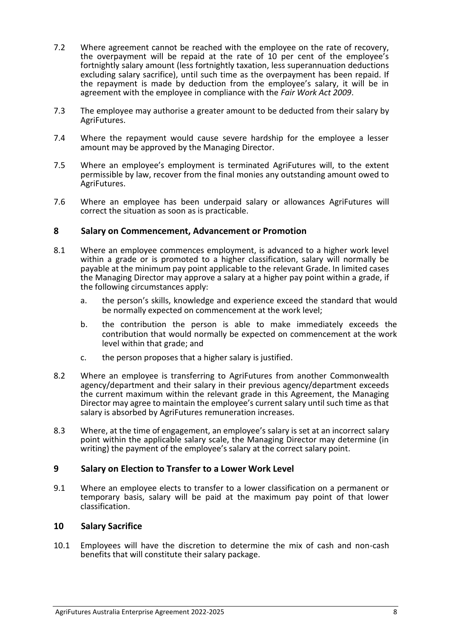- 7.2 Where agreement cannot be reached with the employee on the rate of recovery, the overpayment will be repaid at the rate of 10 per cent of the employee's fortnightly salary amount (less fortnightly taxation, less superannuation deductions excluding salary sacrifice), until such time as the overpayment has been repaid. If the repayment is made by deduction from the employee's salary, it will be in agreement with the employee in compliance with the *Fair Work Act 2009*.
- 7.3 The employee may authorise a greater amount to be deducted from their salary by AgriFutures.
- 7.4 Where the repayment would cause severe hardship for the employee a lesser amount may be approved by the Managing Director.
- 7.5 Where an employee's employment is terminated AgriFutures will, to the extent permissible by law, recover from the final monies any outstanding amount owed to AgriFutures.
- 7.6 Where an employee has been underpaid salary or allowances AgriFutures will correct the situation as soon as is practicable.

#### <span id="page-7-0"></span>**8 Salary on Commencement, Advancement or Promotion**

- 8.1 Where an employee commences employment, is advanced to a higher work level within a grade or is promoted to a higher classification, salary will normally be payable at the minimum pay point applicable to the relevant Grade. In limited cases the Managing Director may approve a salary at a higher pay point within a grade, if the following circumstances apply:
	- a. the person's skills, knowledge and experience exceed the standard that would be normally expected on commencement at the work level;
	- b. the contribution the person is able to make immediately exceeds the contribution that would normally be expected on commencement at the work level within that grade; and
	- c. the person proposes that a higher salary is justified.
- 8.2 Where an employee is transferring to AgriFutures from another Commonwealth agency/department and their salary in their previous agency/department exceeds the current maximum within the relevant grade in this Agreement, the Managing Director may agree to maintain the employee's current salary until such time as that salary is absorbed by AgriFutures remuneration increases.
- 8.3 Where, at the time of engagement, an employee's salary is set at an incorrect salary point within the applicable salary scale, the Managing Director may determine (in writing) the payment of the employee's salary at the correct salary point.

#### <span id="page-7-1"></span>**9 Salary on Election to Transfer to a Lower Work Level**

9.1 Where an employee elects to transfer to a lower classification on a permanent or temporary basis, salary will be paid at the maximum pay point of that lower classification.

#### <span id="page-7-2"></span>**10 Salary Sacrifice**

10.1 Employees will have the discretion to determine the mix of cash and non-cash benefits that will constitute their salary package.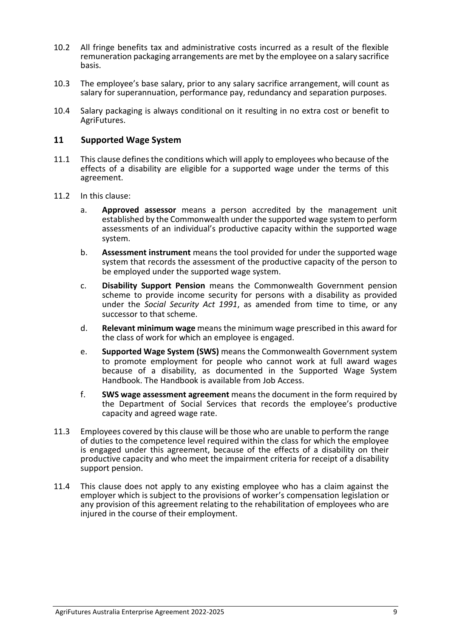- 10.2 All fringe benefits tax and administrative costs incurred as a result of the flexible remuneration packaging arrangements are met by the employee on a salary sacrifice basis.
- 10.3 The employee's base salary, prior to any salary sacrifice arrangement, will count as salary for superannuation, performance pay, redundancy and separation purposes.
- 10.4 Salary packaging is always conditional on it resulting in no extra cost or benefit to AgriFutures.

#### <span id="page-8-0"></span>**11 Supported Wage System**

- 11.1 This clause defines the conditions which will apply to employees who because of the effects of a disability are eligible for a supported wage under the terms of this agreement.
- 11.2 In this clause:
	- a. **Approved assessor** means a person accredited by the management unit established by the Commonwealth under the supported wage system to perform assessments of an individual's productive capacity within the supported wage system.
	- b. **Assessment instrument** means the tool provided for under the supported wage system that records the assessment of the productive capacity of the person to be employed under the supported wage system.
	- c. **Disability Support Pension** means the Commonwealth Government pension scheme to provide income security for persons with a disability as provided under the *Social Security Act 1991*, as amended from time to time, or any successor to that scheme.
	- d. **Relevant minimum wage** means the minimum wage prescribed in this award for the class of work for which an employee is engaged.
	- e. **Supported Wage System (SWS)** means the Commonwealth Government system to promote employment for people who cannot work at full award wages because of a disability, as documented in the Supported Wage System Handbook. The Handbook is available from Job [Access.](http://www.jobaccess.gov.au/)
	- f. **SWS wage assessment agreement** means the document in the form required by the Department of Social Services that records the employee's productive capacity and agreed wage rate.
- 11.3 Employees covered by this clause will be those who are unable to perform the range of duties to the competence level required within the class for which the employee is engaged under this agreement, because of the effects of a disability on their productive capacity and who meet the impairment criteria for receipt of a disability support pension.
- 11.4 This clause does not apply to any existing employee who has a claim against the employer which is subject to the provisions of worker's compensation legislation or any provision of this agreement relating to the rehabilitation of employees who are injured in the course of their employment.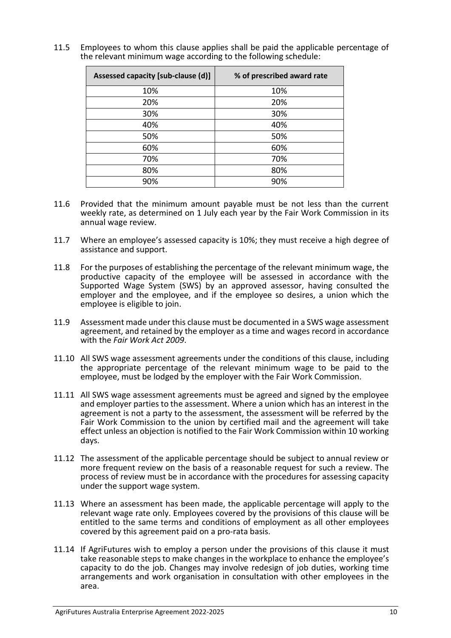11.5 Employees to whom this clause applies shall be paid the applicable percentage of the relevant minimum wage according to the following schedule:

| Assessed capacity [sub-clause (d)] | % of prescribed award rate |
|------------------------------------|----------------------------|
| 10%                                | 10%                        |
| 20%                                | 20%                        |
| 30%                                | 30%                        |
| 40%                                | 40%                        |
| 50%                                | 50%                        |
| 60%                                | 60%                        |
| 70%                                | 70%                        |
| 80%                                | 80%                        |
| 90%                                | 90%                        |

- 11.6 Provided that the minimum amount payable must be not less than the current weekly rate, as determined on 1 July each year by the Fair Work Commission in its annual wage review.
- 11.7 Where an employee's assessed capacity is 10%; they must receive a high degree of assistance and support.
- 11.8 For the purposes of establishing the percentage of the relevant minimum wage, the productive capacity of the employee will be assessed in accordance with the Supported Wage System (SWS) by an approved assessor, having consulted the employer and the employee, and if the employee so desires, a union which the employee is eligible to join.
- 11.9 Assessment made under this clause must be documented in a SWS wage assessment agreement, and retained by the employer as a time and wages record in accordance with the *Fair Work Act 2009*.
- 11.10 All SWS wage assessment agreements under the conditions of this clause, including the appropriate percentage of the relevant minimum wage to be paid to the employee, must be lodged by the employer with the Fair Work Commission.
- 11.11 All SWS wage assessment agreements must be agreed and signed by the employee and employer parties to the assessment. Where a union which has an interest in the agreement is not a party to the assessment, the assessment will be referred by the Fair Work Commission to the union by certified mail and the agreement will take effect unless an objection is notified to the Fair Work Commission within 10 working days.
- 11.12 The assessment of the applicable percentage should be subject to annual review or more frequent review on the basis of a reasonable request for such a review. The process of review must be in accordance with the procedures for assessing capacity under the support wage system.
- 11.13 Where an assessment has been made, the applicable percentage will apply to the relevant wage rate only. Employees covered by the provisions of this clause will be entitled to the same terms and conditions of employment as all other employees covered by this agreement paid on a pro-rata basis.
- 11.14 If AgriFutures wish to employ a person under the provisions of this clause it must take reasonable steps to make changes in the workplace to enhance the employee's capacity to do the job. Changes may involve redesign of job duties, working time arrangements and work organisation in consultation with other employees in the area.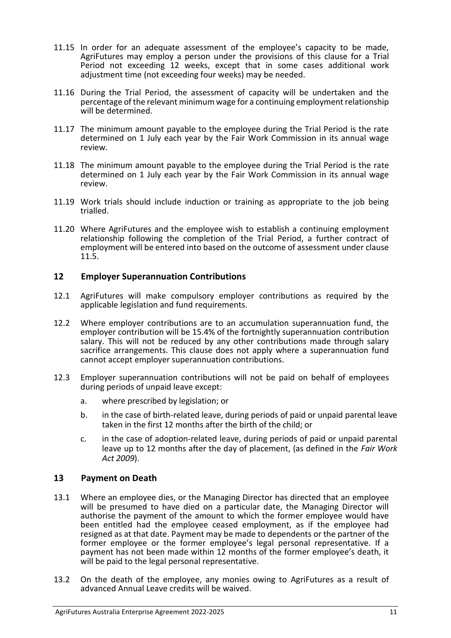- 11.15 In order for an adequate assessment of the employee's capacity to be made, AgriFutures may employ a person under the provisions of this clause for a Trial Period not exceeding 12 weeks, except that in some cases additional work adjustment time (not exceeding four weeks) may be needed.
- 11.16 During the Trial Period, the assessment of capacity will be undertaken and the percentage of the relevant minimum wage for a continuing employment relationship will be determined.
- 11.17 The minimum amount payable to the employee during the Trial Period is the rate determined on 1 July each year by the Fair Work Commission in its annual wage review.
- 11.18 The minimum amount payable to the employee during the Trial Period is the rate determined on 1 July each year by the Fair Work Commission in its annual wage review.
- 11.19 Work trials should include induction or training as appropriate to the job being trialled.
- 11.20 Where AgriFutures and the employee wish to establish a continuing employment relationship following the completion of the Trial Period, a further contract of employment will be entered into based on the outcome of assessment under clause 11.5.

#### <span id="page-10-0"></span>**12 Employer Superannuation Contributions**

- 12.1 AgriFutures will make compulsory employer contributions as required by the applicable legislation and fund requirements.
- 12.2 Where employer contributions are to an accumulation superannuation fund, the employer contribution will be 15.4% of the fortnightly superannuation contribution salary. This will not be reduced by any other contributions made through salary sacrifice arrangements. This clause does not apply where a superannuation fund cannot accept employer superannuation contributions.
- 12.3 Employer superannuation contributions will not be paid on behalf of employees during periods of unpaid leave except:
	- a. where prescribed by legislation; or
	- b. in the case of birth-related leave, during periods of paid or unpaid parental leave taken in the first 12 months after the birth of the child; or
	- c. in the case of adoption-related leave, during periods of paid or unpaid parental leave up to 12 months after the day of placement, (as defined in the *Fair Work Act 2009*).

#### <span id="page-10-1"></span>**13 Payment on Death**

- 13.1 Where an employee dies, or the Managing Director has directed that an employee will be presumed to have died on a particular date, the Managing Director will authorise the payment of the amount to which the former employee would have been entitled had the employee ceased employment, as if the employee had resigned as at that date. Payment may be made to dependents or the partner of the former employee or the former employee's legal personal representative. If a payment has not been made within 12 months of the former employee's death, it will be paid to the legal personal representative.
- 13.2 On the death of the employee, any monies owing to AgriFutures as a result of advanced Annual Leave credits will be waived.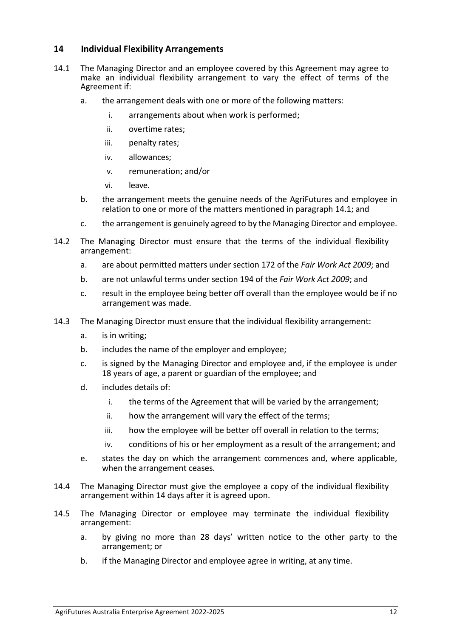#### <span id="page-11-0"></span>**14 Individual Flexibility Arrangements**

- 14.1 The Managing Director and an employee covered by this Agreement may agree to make an individual flexibility arrangement to vary the effect of terms of the Agreement if:
	- a. the arrangement deals with one or more of the following matters:
		- i. arrangements about when work is performed;
		- ii. overtime rates;
		- iii. penalty rates;
		- iv. allowances;
		- v. remuneration; and/or
		- vi. leave.
	- b. the arrangement meets the genuine needs of the AgriFutures and employee in relation to one or more of the matters mentioned in paragraph 14.1; and
	- c. the arrangement is genuinely agreed to by the Managing Director and employee.
- 14.2 The Managing Director must ensure that the terms of the individual flexibility arrangement:
	- a. are about permitted matters under section 172 of the *Fair Work Act 2009*; and
	- b. are not unlawful terms under section 194 of the *Fair Work Act 2009*; and
	- c. result in the employee being better off overall than the employee would be if no arrangement was made.
- 14.3 The Managing Director must ensure that the individual flexibility arrangement:
	- a. is in writing;
	- b. includes the name of the employer and employee;
	- c. is signed by the Managing Director and employee and, if the employee is under 18 years of age, a parent or guardian of the employee; and
	- d. includes details of:
		- i. the terms of the Agreement that will be varied by the arrangement;
		- ii. how the arrangement will vary the effect of the terms;
		- iii. how the employee will be better off overall in relation to the terms;
		- iv. conditions of his or her employment as a result of the arrangement; and
	- e. states the day on which the arrangement commences and, where applicable, when the arrangement ceases.
- 14.4 The Managing Director must give the employee a copy of the individual flexibility arrangement within 14 days after it is agreed upon.
- 14.5 The Managing Director or employee may terminate the individual flexibility arrangement:
	- a. by giving no more than 28 days' written notice to the other party to the arrangement; or
	- b. if the Managing Director and employee agree in writing, at any time.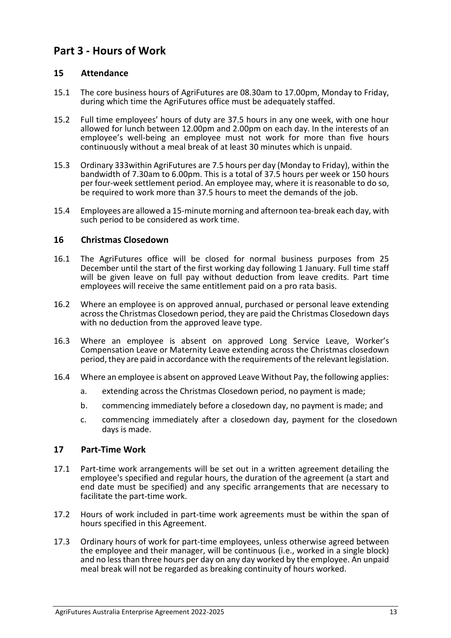# <span id="page-12-0"></span>**Part 3 - Hours of Work**

#### <span id="page-12-1"></span>**15 Attendance**

- 15.1 The core business hours of AgriFutures are 08.30am to 17.00pm, Monday to Friday, during which time the AgriFutures office must be adequately staffed.
- 15.2 Full time employees' hours of duty are 37.5 hours in any one week, with one hour allowed for lunch between 12.00pm and 2.00pm on each day. In the interests of an employee's well-being an employee must not work for more than five hours continuously without a meal break of at least 30 minutes which is unpaid.
- 15.3 Ordinary 333within AgriFutures are 7.5 hours per day (Monday to Friday), within the bandwidth of 7.30am to 6.00pm. This is a total of 37.5 hours per week or 150 hours per four-week settlement period. An employee may, where it is reasonable to do so, be required to work more than 37.5 hours to meet the demands of the job.
- 15.4 Employees are allowed a 15-minute morning and afternoon tea-break each day, with such period to be considered as work time.

#### <span id="page-12-2"></span>**16 Christmas Closedown**

- 16.1 The AgriFutures office will be closed for normal business purposes from 25 December until the start of the first working day following 1 January. Full time staff will be given leave on full pay without deduction from leave credits. Part time employees will receive the same entitlement paid on a pro rata basis.
- 16.2 Where an employee is on approved annual, purchased or personal leave extending across the Christmas Closedown period, they are paid the Christmas Closedown days with no deduction from the approved leave type.
- 16.3 Where an employee is absent on approved Long Service Leave, Worker's Compensation Leave or Maternity Leave extending across the Christmas closedown period, they are paid in accordance with the requirements of the relevant legislation.
- 16.4 Where an employee is absent on approved Leave Without Pay, the following applies:
	- a. extending across the Christmas Closedown period, no payment is made;
	- b. commencing immediately before a closedown day, no payment is made; and
	- c. commencing immediately after a closedown day, payment for the closedown days is made.

#### <span id="page-12-3"></span>**17 Part-Time Work**

- 17.1 Part-time work arrangements will be set out in a written agreement detailing the employee's specified and regular hours, the duration of the agreement (a start and end date must be specified) and any specific arrangements that are necessary to facilitate the part-time work.
- 17.2 Hours of work included in part-time work agreements must be within the span of hours specified in this Agreement.
- 17.3 Ordinary hours of work for part-time employees, unless otherwise agreed between the employee and their manager, will be continuous (i.e., worked in a single block) and no less than three hours per day on any day worked by the employee. An unpaid meal break will not be regarded as breaking continuity of hours worked.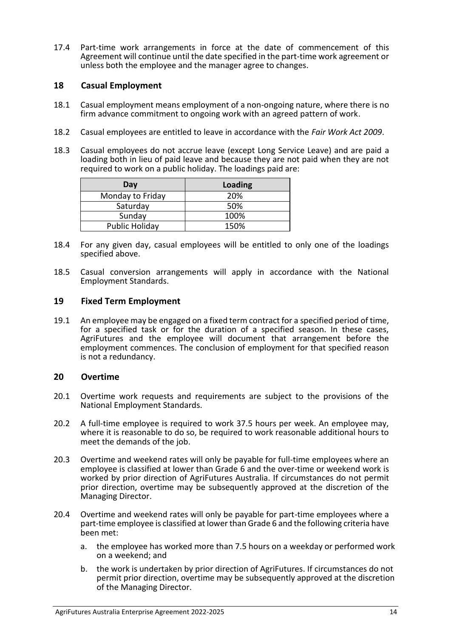17.4 Part-time work arrangements in force at the date of commencement of this Agreement will continue until the date specified in the part-time work agreement or unless both the employee and the manager agree to changes.

#### <span id="page-13-0"></span>**18 Casual Employment**

- 18.1 Casual employment means employment of a non-ongoing nature, where there is no firm advance commitment to ongoing work with an agreed pattern of work.
- 18.2 Casual employees are entitled to leave in accordance with the *Fair Work Act 2009*.
- 18.3 Casual employees do not accrue leave (except Long Service Leave) and are paid a loading both in lieu of paid leave and because they are not paid when they are not required to work on a public holiday. The loadings paid are:

| Day              | <b>Loading</b> |
|------------------|----------------|
| Monday to Friday | 20%            |
| Saturday         | 50%            |
| Sunday           | 100%           |
| Public Holiday   | 150%           |

- 18.4 For any given day, casual employees will be entitled to only one of the loadings specified above.
- 18.5 Casual conversion arrangements will apply in accordance with the National Employment Standards.

#### <span id="page-13-1"></span>**19 Fixed Term Employment**

19.1 An employee may be engaged on a fixed term contract for a specified period of time, for a specified task or for the duration of a specified season. In these cases, AgriFutures and the employee will document that arrangement before the employment commences. The conclusion of employment for that specified reason is not a redundancy.

#### <span id="page-13-2"></span>**20 Overtime**

- 20.1 Overtime work requests and requirements are subject to the provisions of the National Employment Standards.
- 20.2 A full-time employee is required to work 37.5 hours per week. An employee may, where it is reasonable to do so, be required to work reasonable additional hours to meet the demands of the job.
- 20.3 Overtime and weekend rates will only be payable for full-time employees where an employee is classified at lower than Grade 6 and the over-time or weekend work is worked by prior direction of AgriFutures Australia. If circumstances do not permit prior direction, overtime may be subsequently approved at the discretion of the Managing Director.
- 20.4 Overtime and weekend rates will only be payable for part-time employees where a part-time employee is classified at lower than Grade 6 and the following criteria have been met:
	- a. the employee has worked more than 7.5 hours on a weekday or performed work on a weekend; and
	- b. the work is undertaken by prior direction of AgriFutures. If circumstances do not permit prior direction, overtime may be subsequently approved at the discretion of the Managing Director.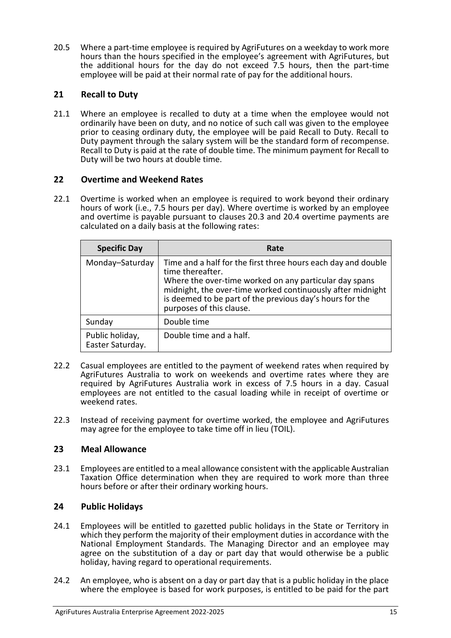20.5 Where a part-time employee is required by AgriFutures on a weekday to work more hours than the hours specified in the employee's agreement with AgriFutures, but the additional hours for the day do not exceed 7.5 hours, then the part-time employee will be paid at their normal rate of pay for the additional hours.

#### <span id="page-14-0"></span>**21 Recall to Duty**

21.1 Where an employee is recalled to duty at a time when the employee would not ordinarily have been on duty, and no notice of such call was given to the employee prior to ceasing ordinary duty, the employee will be paid Recall to Duty. Recall to Duty payment through the salary system will be the standard form of recompense. Recall to Duty is paid at the rate of double time. The minimum payment for Recall to Duty will be two hours at double time.

#### <span id="page-14-1"></span>**22 Overtime and Weekend Rates**

22.1 Overtime is worked when an employee is required to work beyond their ordinary hours of work (i.e., 7.5 hours per day). Where overtime is worked by an employee and overtime is payable pursuant to clauses 20.3 and 20.4 overtime payments are calculated on a daily basis at the following rates:

| <b>Specific Day</b>                 | Rate                                                                                                                                                                                                                                                                                              |
|-------------------------------------|---------------------------------------------------------------------------------------------------------------------------------------------------------------------------------------------------------------------------------------------------------------------------------------------------|
| Monday-Saturday                     | Time and a half for the first three hours each day and double<br>time thereafter.<br>Where the over-time worked on any particular day spans<br>midnight, the over-time worked continuously after midnight<br>is deemed to be part of the previous day's hours for the<br>purposes of this clause. |
| Sunday                              | Double time                                                                                                                                                                                                                                                                                       |
| Public holiday,<br>Easter Saturday. | Double time and a half.                                                                                                                                                                                                                                                                           |

- 22.2 Casual employees are entitled to the payment of weekend rates when required by AgriFutures Australia to work on weekends and overtime rates where they are required by AgriFutures Australia work in excess of 7.5 hours in a day. Casual employees are not entitled to the casual loading while in receipt of overtime or weekend rates.
- 22.3 Instead of receiving payment for overtime worked, the employee and AgriFutures may agree for the employee to take time off in lieu (TOIL).

#### <span id="page-14-2"></span>**23 Meal Allowance**

23.1 Employees are entitled to a meal allowance consistent with the applicable Australian Taxation Office determination when they are required to work more than three hours before or after their ordinary working hours.

#### <span id="page-14-3"></span>**24 Public Holidays**

- 24.1 Employees will be entitled to gazetted public holidays in the State or Territory in which they perform the majority of their employment duties in accordance with the National Employment Standards. The Managing Director and an employee may agree on the substitution of a day or part day that would otherwise be a public holiday, having regard to operational requirements.
- 24.2 An employee, who is absent on a day or part day that is a public holiday in the place where the employee is based for work purposes, is entitled to be paid for the part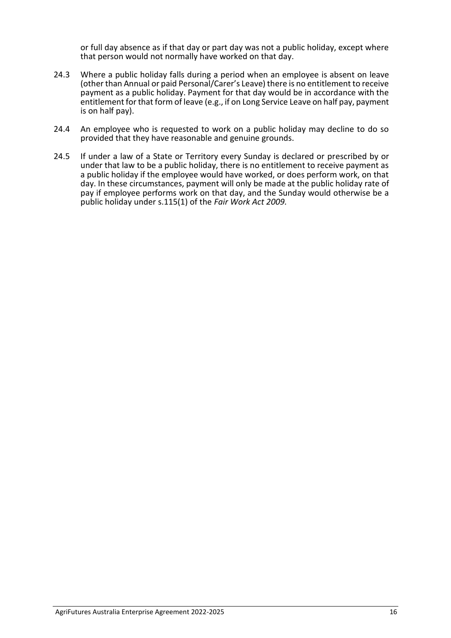or full day absence as if that day or part day was not a public holiday, except where that person would not normally have worked on that day.

- 24.3 Where a public holiday falls during a period when an employee is absent on leave (other than Annual or paid Personal/Carer's Leave) there is no entitlement to receive payment as a public holiday. Payment for that day would be in accordance with the entitlement for that form of leave (e.g., if on Long Service Leave on half pay, payment is on half pay).
- 24.4 An employee who is requested to work on a public holiday may decline to do so provided that they have reasonable and genuine grounds.
- 24.5 If under a law of a State or Territory every Sunday is declared or prescribed by or under that law to be a public holiday, there is no entitlement to receive payment as a public holiday if the employee would have worked, or does perform work, on that day. In these circumstances, payment will only be made at the public holiday rate of pay if employee performs work on that day, and the Sunday would otherwise be a public holiday under s.115(1) of the *Fair Work Act 2009.*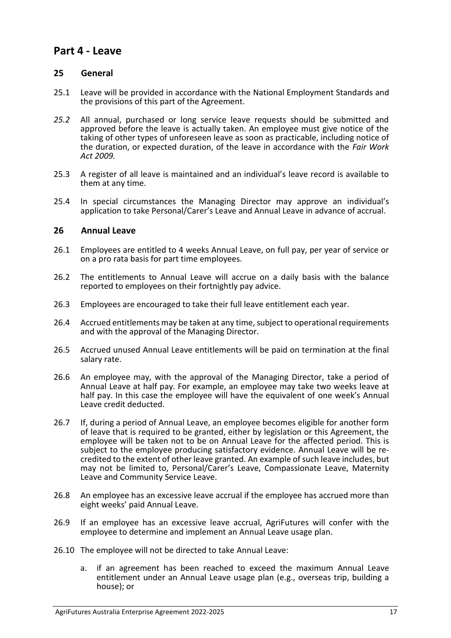### <span id="page-16-0"></span>**Part 4 - Leave**

#### <span id="page-16-1"></span>**25 General**

- 25.1 Leave will be provided in accordance with the National Employment Standards and the provisions of this part of the Agreement.
- *25.2* All annual, purchased or long service leave requests should be submitted and approved before the leave is actually taken. An employee must give notice of the taking of other types of unforeseen leave as soon as practicable, including notice of the duration, or expected duration, of the leave in accordance with the *Fair Work Act 2009.*
- 25.3 A register of all leave is maintained and an individual's leave record is available to them at any time.
- 25.4 In special circumstances the Managing Director may approve an individual's application to take Personal/Carer's Leave and Annual Leave in advance of accrual.

#### <span id="page-16-2"></span>**26 Annual Leave**

- 26.1 Employees are entitled to 4 weeks Annual Leave, on full pay, per year of service or on a pro rata basis for part time employees.
- 26.2 The entitlements to Annual Leave will accrue on a daily basis with the balance reported to employees on their fortnightly pay advice.
- 26.3 Employees are encouraged to take their full leave entitlement each year.
- 26.4 Accrued entitlements may be taken at any time, subject to operational requirements and with the approval of the Managing Director.
- 26.5 Accrued unused Annual Leave entitlements will be paid on termination at the final salary rate.
- 26.6 An employee may, with the approval of the Managing Director, take a period of Annual Leave at half pay. For example, an employee may take two weeks leave at half pay. In this case the employee will have the equivalent of one week's Annual Leave credit deducted.
- 26.7 If, during a period of Annual Leave, an employee becomes eligible for another form of leave that is required to be granted, either by legislation or this Agreement, the employee will be taken not to be on Annual Leave for the affected period. This is subject to the employee producing satisfactory evidence. Annual Leave will be recredited to the extent of other leave granted. An example of such leave includes, but may not be limited to, Personal/Carer's Leave, Compassionate Leave, Maternity Leave and Community Service Leave.
- 26.8 An employee has an excessive leave accrual if the employee has accrued more than eight weeks' paid Annual Leave.
- 26.9 If an employee has an excessive leave accrual, AgriFutures will confer with the employee to determine and implement an Annual Leave usage plan.
- 26.10 The employee will not be directed to take Annual Leave:
	- a. if an agreement has been reached to exceed the maximum Annual Leave entitlement under an Annual Leave usage plan (e.g., overseas trip, building a house); or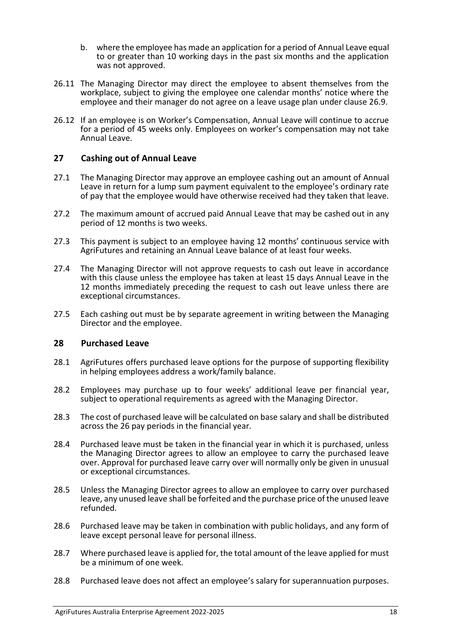- b. where the employee has made an application for a period of Annual Leave equal to or greater than 10 working days in the past six months and the application was not approved.
- 26.11 The Managing Director may direct the employee to absent themselves from the workplace, subject to giving the employee one calendar months' notice where the employee and their manager do not agree on a leave usage plan under clause 26.9.
- 26.12 If an employee is on Worker's Compensation, Annual Leave will continue to accrue for a period of 45 weeks only. Employees on worker's compensation may not take Annual Leave.

#### <span id="page-17-0"></span>**27 Cashing out of Annual Leave**

- 27.1 The Managing Director may approve an employee cashing out an amount of Annual Leave in return for a lump sum payment equivalent to the employee's ordinary rate of pay that the employee would have otherwise received had they taken that leave.
- 27.2 The maximum amount of accrued paid Annual Leave that may be cashed out in any period of 12 months is two weeks.
- 27.3 This payment is subject to an employee having 12 months' continuous service with AgriFutures and retaining an Annual Leave balance of at least four weeks.
- 27.4 The Managing Director will not approve requests to cash out leave in accordance with this clause unless the employee has taken at least 15 days Annual Leave in the 12 months immediately preceding the request to cash out leave unless there are exceptional circumstances.
- 27.5 Each cashing out must be by separate agreement in writing between the Managing Director and the employee.

#### <span id="page-17-1"></span>**28 Purchased Leave**

- 28.1 AgriFutures offers purchased leave options for the purpose of supporting flexibility in helping employees address a work/family balance.
- 28.2 Employees may purchase up to four weeks' additional leave per financial year, subject to operational requirements as agreed with the Managing Director.
- 28.3 The cost of purchased leave will be calculated on base salary and shall be distributed across the 26 pay periods in the financial year.
- 28.4 Purchased leave must be taken in the financial year in which it is purchased, unless the Managing Director agrees to allow an employee to carry the purchased leave over. Approval for purchased leave carry over will normally only be given in unusual or exceptional circumstances.
- 28.5 Unless the Managing Director agrees to allow an employee to carry over purchased leave, any unused leave shall be forfeited and the purchase price of the unused leave refunded.
- 28.6 Purchased leave may be taken in combination with public holidays, and any form of leave except personal leave for personal illness.
- 28.7 Where purchased leave is applied for, the total amount of the leave applied for must be a minimum of one week.
- 28.8 Purchased leave does not affect an employee's salary for superannuation purposes.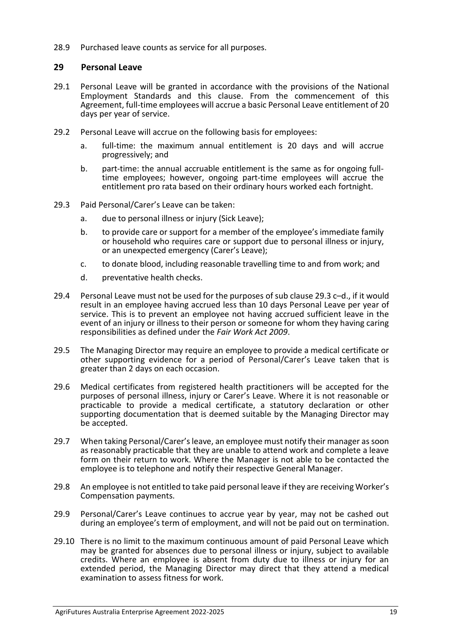<span id="page-18-0"></span>28.9 Purchased leave counts as service for all purposes.

#### **29 Personal Leave**

- 29.1 Personal Leave will be granted in accordance with the provisions of the National Employment Standards and this clause. From the commencement of this Agreement, full-time employees will accrue a basic Personal Leave entitlement of 20 days per year of service.
- 29.2 Personal Leave will accrue on the following basis for employees:
	- a. full-time: the maximum annual entitlement is 20 days and will accrue progressively; and
	- b. part-time: the annual accruable entitlement is the same as for ongoing fulltime employees; however, ongoing part-time employees will accrue the entitlement pro rata based on their ordinary hours worked each fortnight.
- 29.3 Paid Personal/Carer's Leave can be taken:
	- a. due to personal illness or injury (Sick Leave);
	- b. to provide care or support for a member of the employee's immediate family or household who requires care or support due to personal illness or injury, or an unexpected emergency (Carer's Leave);
	- c. to donate blood, including reasonable travelling time to and from work; and
	- d. preventative health checks.
- 29.4 Personal Leave must not be used for the purposes of sub clause 29.3 c–d., if it would result in an employee having accrued less than 10 days Personal Leave per year of service. This is to prevent an employee not having accrued sufficient leave in the event of an injury or illness to their person or someone for whom they having caring responsibilities as defined under the *Fair Work Act 2009*.
- 29.5 The Managing Director may require an employee to provide a medical certificate or other supporting evidence for a period of Personal/Carer's Leave taken that is greater than 2 days on each occasion.
- 29.6 Medical certificates from registered health practitioners will be accepted for the purposes of personal illness, injury or Carer's Leave. Where it is not reasonable or practicable to provide a medical certificate, a statutory declaration or other supporting documentation that is deemed suitable by the Managing Director may be accepted.
- 29.7 When taking Personal/Carer's leave, an employee must notify their manager as soon as reasonably practicable that they are unable to attend work and complete a leave form on their return to work. Where the Manager is not able to be contacted the employee is to telephone and notify their respective General Manager.
- 29.8 An employee is not entitled to take paid personal leave if they are receiving Worker's Compensation payments.
- 29.9 Personal/Carer's Leave continues to accrue year by year, may not be cashed out during an employee's term of employment, and will not be paid out on termination.
- 29.10 There is no limit to the maximum continuous amount of paid Personal Leave which may be granted for absences due to personal illness or injury, subject to available credits. Where an employee is absent from duty due to illness or injury for an extended period, the Managing Director may direct that they attend a medical examination to assess fitness for work.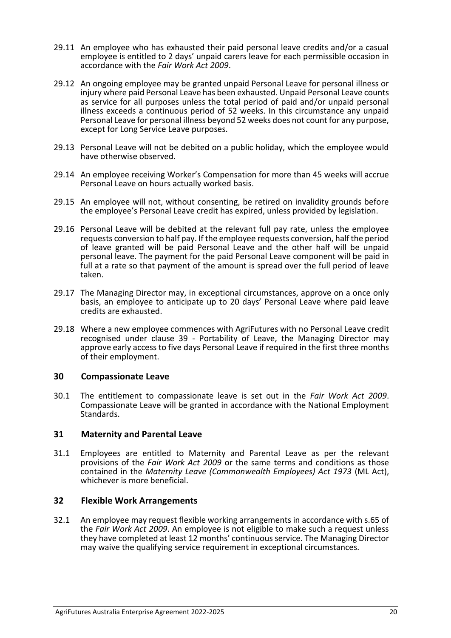- 29.11 An employee who has exhausted their paid personal leave credits and/or a casual employee is entitled to 2 days' unpaid carers leave for each permissible occasion in accordance with the *Fair Work Act 2009*.
- 29.12 An ongoing employee may be granted unpaid Personal Leave for personal illness or injury where paid Personal Leave has been exhausted. Unpaid Personal Leave counts as service for all purposes unless the total period of paid and/or unpaid personal illness exceeds a continuous period of 52 weeks. In this circumstance any unpaid Personal Leave for personal illness beyond 52 weeks does not count for any purpose, except for Long Service Leave purposes.
- 29.13 Personal Leave will not be debited on a public holiday, which the employee would have otherwise observed.
- 29.14 An employee receiving Worker's Compensation for more than 45 weeks will accrue Personal Leave on hours actually worked basis.
- 29.15 An employee will not, without consenting, be retired on invalidity grounds before the employee's Personal Leave credit has expired, unless provided by legislation.
- 29.16 Personal Leave will be debited at the relevant full pay rate, unless the employee requests conversion to half pay. If the employee requests conversion, half the period of leave granted will be paid Personal Leave and the other half will be unpaid personal leave. The payment for the paid Personal Leave component will be paid in full at a rate so that payment of the amount is spread over the full period of leave taken.
- 29.17 The Managing Director may, in exceptional circumstances, approve on a once only basis, an employee to anticipate up to 20 days' Personal Leave where paid leave credits are exhausted.
- 29.18 Where a new employee commences with AgriFutures with no Personal Leave credit recognised under clause 39 - Portability of Leave, the Managing Director may approve early access to five days Personal Leave if required in the first three months of their employment.

#### <span id="page-19-0"></span>**30 Compassionate Leave**

30.1 The entitlement to compassionate leave is set out in the *Fair Work Act 2009*. Compassionate Leave will be granted in accordance with the National Employment Standards.

#### <span id="page-19-1"></span>**31 Maternity and Parental Leave**

31.1 Employees are entitled to Maternity and Parental Leave as per the relevant provisions of the *Fair Work Act 2009* or the same terms and conditions as those contained in the *Maternity Leave (Commonwealth Employees) Act 1973* (ML Act), whichever is more beneficial.

#### <span id="page-19-2"></span>**32 Flexible Work Arrangements**

32.1 An employee may request flexible working arrangements in accordance with s.65 of the *Fair Work Act 2009*. An employee is not eligible to make such a request unless they have completed at least 12 months' continuous service. The Managing Director may waive the qualifying service requirement in exceptional circumstances.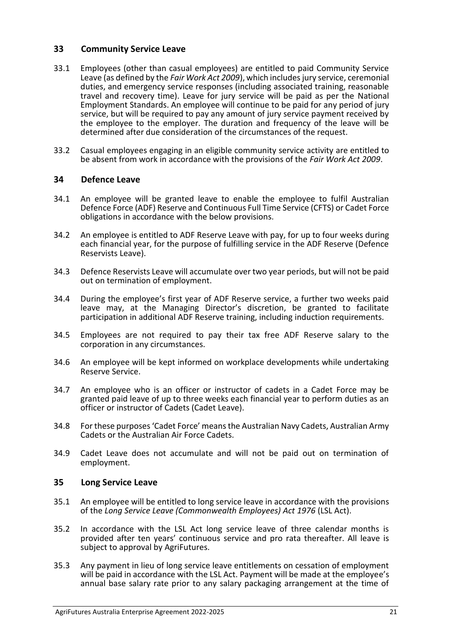#### <span id="page-20-0"></span>**33 Community Service Leave**

- 33.1 Employees (other than casual employees) are entitled to paid Community Service Leave (as defined by the *Fair Work Act 2009*), which includes jury service, ceremonial duties, and emergency service responses (including associated training, reasonable travel and recovery time). Leave for jury service will be paid as per the National Employment Standards. An employee will continue to be paid for any period of jury service, but will be required to pay any amount of jury service payment received by the employee to the employer. The duration and frequency of the leave will be determined after due consideration of the circumstances of the request.
- 33.2 Casual employees engaging in an eligible community service activity are entitled to be absent from work in accordance with the provisions of the *Fair Work Act 2009*.

#### <span id="page-20-1"></span>**34 Defence Leave**

- 34.1 An employee will be granted leave to enable the employee to fulfil Australian Defence Force (ADF) Reserve and Continuous Full Time Service (CFTS) or Cadet Force obligations in accordance with the below provisions.
- 34.2 An employee is entitled to ADF Reserve Leave with pay, for up to four weeks during each financial year, for the purpose of fulfilling service in the ADF Reserve (Defence Reservists Leave).
- 34.3 Defence Reservists Leave will accumulate over two year periods, but will not be paid out on termination of employment.
- 34.4 During the employee's first year of ADF Reserve service, a further two weeks paid leave may, at the Managing Director's discretion, be granted to facilitate participation in additional ADF Reserve training, including induction requirements.
- 34.5 Employees are not required to pay their tax free ADF Reserve salary to the corporation in any circumstances.
- 34.6 An employee will be kept informed on workplace developments while undertaking Reserve Service.
- 34.7 An employee who is an officer or instructor of cadets in a Cadet Force may be granted paid leave of up to three weeks each financial year to perform duties as an officer or instructor of Cadets (Cadet Leave).
- 34.8 For these purposes 'Cadet Force' means the Australian Navy Cadets, Australian Army Cadets or the Australian Air Force Cadets.
- 34.9 Cadet Leave does not accumulate and will not be paid out on termination of employment.

#### <span id="page-20-2"></span>**35 Long Service Leave**

- 35.1 An employee will be entitled to long service leave in accordance with the provisions of the *Long Service Leave (Commonwealth Employees) Act 1976* (LSL Act).
- 35.2 In accordance with the LSL Act long service leave of three calendar months is provided after ten years' continuous service and pro rata thereafter. All leave is subject to approval by AgriFutures.
- 35.3 Any payment in lieu of long service leave entitlements on cessation of employment will be paid in accordance with the LSL Act. Payment will be made at the employee's annual base salary rate prior to any salary packaging arrangement at the time of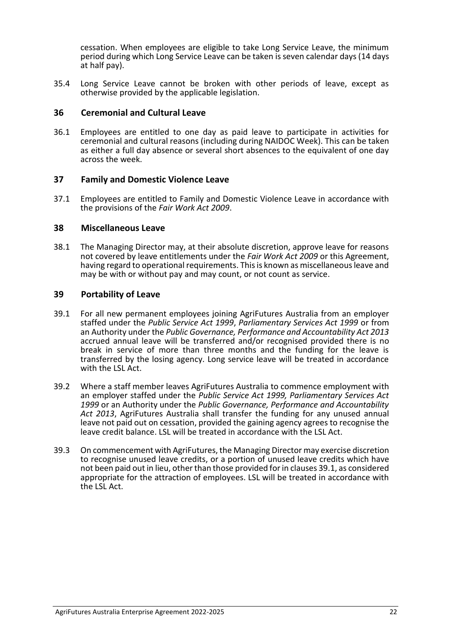cessation. When employees are eligible to take Long Service Leave, the minimum period during which Long Service Leave can be taken is seven calendar days (14 days at half pay).

35.4 Long Service Leave cannot be broken with other periods of leave, except as otherwise provided by the applicable legislation.

#### <span id="page-21-0"></span>**36 Ceremonial and Cultural Leave**

36.1 Employees are entitled to one day as paid leave to participate in activities for ceremonial and cultural reasons (including during NAIDOC Week). This can be taken as either a full day absence or several short absences to the equivalent of one day across the week.

#### <span id="page-21-1"></span>**37 Family and Domestic Violence Leave**

37.1 Employees are entitled to Family and Domestic Violence Leave in accordance with the provisions of the *Fair Work Act 2009*.

#### <span id="page-21-2"></span>**38 Miscellaneous Leave**

38.1 The Managing Director may, at their absolute discretion, approve leave for reasons not covered by leave entitlements under the *Fair Work Act 2009* or this Agreement, having regard to operational requirements. This is known as miscellaneous leave and may be with or without pay and may count, or not count as service.

#### <span id="page-21-3"></span>**39 Portability of Leave**

- 39.1 For all new permanent employees joining AgriFutures Australia from an employer staffed under the *Public Service Act 1999*, *Parliamentary Services Act 1999* or from an Authority under the *Public Governance, Performance and Accountability Act 2013*  accrued annual leave will be transferred and/or recognised provided there is no break in service of more than three months and the funding for the leave is transferred by the losing agency. Long service leave will be treated in accordance with the LSL Act.
- 39.2 Where a staff member leaves AgriFutures Australia to commence employment with an employer staffed under the *Public Service Act 1999, Parliamentary Services Act 1999* or an Authority under the *Public Governance, Performance and Accountability Act 2013*, AgriFutures Australia shall transfer the funding for any unused annual leave not paid out on cessation, provided the gaining agency agrees to recognise the leave credit balance. LSL will be treated in accordance with the LSL Act.
- 39.3 On commencement with AgriFutures, the Managing Director may exercise discretion to recognise unused leave credits, or a portion of unused leave credits which have not been paid out in lieu, other than those provided for in clauses 39.1, as considered appropriate for the attraction of employees. LSL will be treated in accordance with the LSL Act.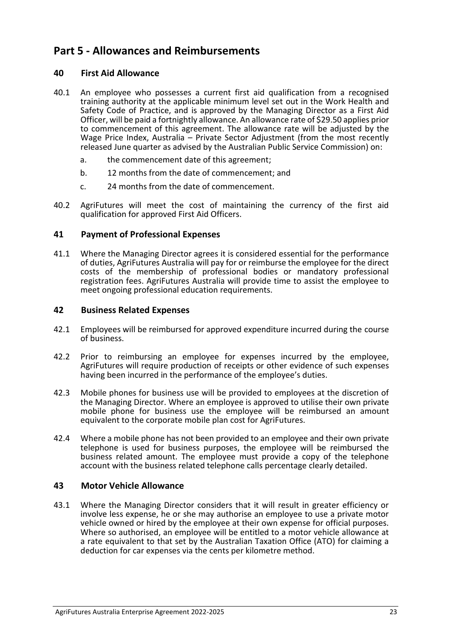# <span id="page-22-0"></span>**Part 5 - Allowances and Reimbursements**

#### <span id="page-22-1"></span>**40 First Aid Allowance**

- 40.1 An employee who possesses a current first aid qualification from a recognised training authority at the applicable minimum level set out in the Work Health and Safety Code of Practice, and is approved by the Managing Director as a First Aid Officer, will be paid a fortnightly allowance. An allowance rate of \$29.50 applies prior to commencement of this agreement. The allowance rate will be adjusted by the Wage Price Index, Australia – Private Sector Adjustment (from the most recently released June quarter as advised by the Australian Public Service Commission) on:
	- a. the commencement date of this agreement;
	- b. 12 months from the date of commencement; and
	- c. 24 months from the date of commencement.
- 40.2 AgriFutures will meet the cost of maintaining the currency of the first aid qualification for approved First Aid Officers.

#### <span id="page-22-2"></span>**41 Payment of Professional Expenses**

41.1 Where the Managing Director agrees it is considered essential for the performance of duties, AgriFutures Australia will pay for or reimburse the employee for the direct costs of the membership of professional bodies or mandatory professional registration fees. AgriFutures Australia will provide time to assist the employee to meet ongoing professional education requirements.

#### <span id="page-22-3"></span>**42 Business Related Expenses**

- 42.1 Employees will be reimbursed for approved expenditure incurred during the course of business.
- 42.2 Prior to reimbursing an employee for expenses incurred by the employee, AgriFutures will require production of receipts or other evidence of such expenses having been incurred in the performance of the employee's duties.
- 42.3 Mobile phones for business use will be provided to employees at the discretion of the Managing Director. Where an employee is approved to utilise their own private mobile phone for business use the employee will be reimbursed an amount equivalent to the corporate mobile plan cost for AgriFutures.
- 42.4 Where a mobile phone has not been provided to an employee and their own private telephone is used for business purposes, the employee will be reimbursed the business related amount. The employee must provide a copy of the telephone account with the business related telephone calls percentage clearly detailed.

#### <span id="page-22-4"></span>**43 Motor Vehicle Allowance**

43.1 Where the Managing Director considers that it will result in greater efficiency or involve less expense, he or she may authorise an employee to use a private motor vehicle owned or hired by the employee at their own expense for official purposes. Where so authorised, an employee will be entitled to a motor vehicle allowance at a rate equivalent to that set by the Australian Taxation Office (ATO) for claiming a deduction for car expenses via the cents per kilometre method.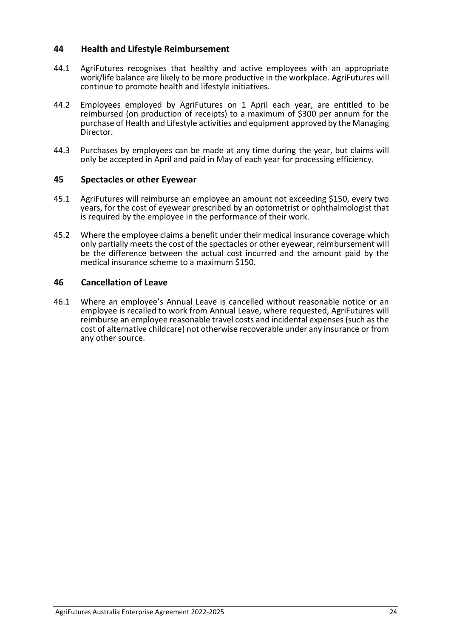#### <span id="page-23-0"></span>**44 Health and Lifestyle Reimbursement**

- 44.1 AgriFutures recognises that healthy and active employees with an appropriate work/life balance are likely to be more productive in the workplace. AgriFutures will continue to promote health and lifestyle initiatives.
- 44.2 Employees employed by AgriFutures on 1 April each year, are entitled to be reimbursed (on production of receipts) to a maximum of \$300 per annum for the purchase of Health and Lifestyle activities and equipment approved by the Managing Director.
- 44.3 Purchases by employees can be made at any time during the year, but claims will only be accepted in April and paid in May of each year for processing efficiency.

#### <span id="page-23-1"></span>**45 Spectacles or other Eyewear**

- 45.1 AgriFutures will reimburse an employee an amount not exceeding \$150, every two years, for the cost of eyewear prescribed by an optometrist or ophthalmologist that is required by the employee in the performance of their work.
- 45.2 Where the employee claims a benefit under their medical insurance coverage which only partially meets the cost of the spectacles or other eyewear, reimbursement will be the difference between the actual cost incurred and the amount paid by the medical insurance scheme to a maximum \$150.

#### <span id="page-23-2"></span>**46 Cancellation of Leave**

46.1 Where an employee's Annual Leave is cancelled without reasonable notice or an employee is recalled to work from Annual Leave, where requested, AgriFutures will reimburse an employee reasonable travel costs and incidental expenses (such as the cost of alternative childcare) not otherwise recoverable under any insurance or from any other source.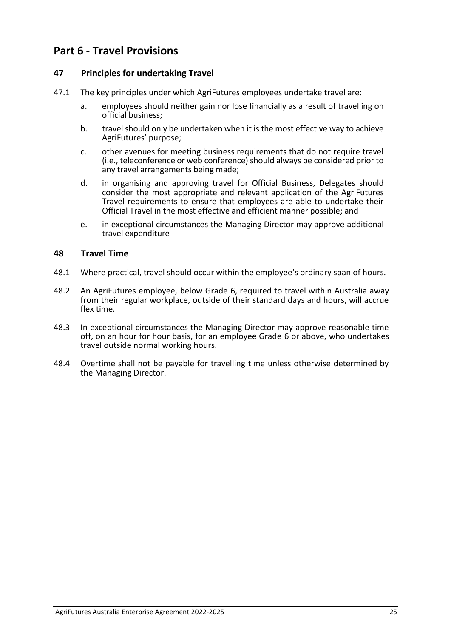# <span id="page-24-0"></span>**Part 6 - Travel Provisions**

#### <span id="page-24-1"></span>**47 Principles for undertaking Travel**

- 47.1 The key principles under which AgriFutures employees undertake travel are:
	- a. employees should neither gain nor lose financially as a result of travelling on official business;
	- b. travel should only be undertaken when it is the most effective way to achieve AgriFutures' purpose;
	- c. other avenues for meeting business requirements that do not require travel (i.e., teleconference or web conference) should always be considered prior to any travel arrangements being made;
	- d. in organising and approving travel for Official Business, Delegates should consider the most appropriate and relevant application of the AgriFutures Travel requirements to ensure that employees are able to undertake their Official Travel in the most effective and efficient manner possible; and
	- e. in exceptional circumstances the Managing Director may approve additional travel expenditure

#### <span id="page-24-2"></span>**48 Travel Time**

- 48.1 Where practical, travel should occur within the employee's ordinary span of hours.
- 48.2 An AgriFutures employee, below Grade 6, required to travel within Australia away from their regular workplace, outside of their standard days and hours, will accrue flex time.
- 48.3 In exceptional circumstances the Managing Director may approve reasonable time off, on an hour for hour basis, for an employee Grade 6 or above, who undertakes travel outside normal working hours.
- 48.4 Overtime shall not be payable for travelling time unless otherwise determined by the Managing Director.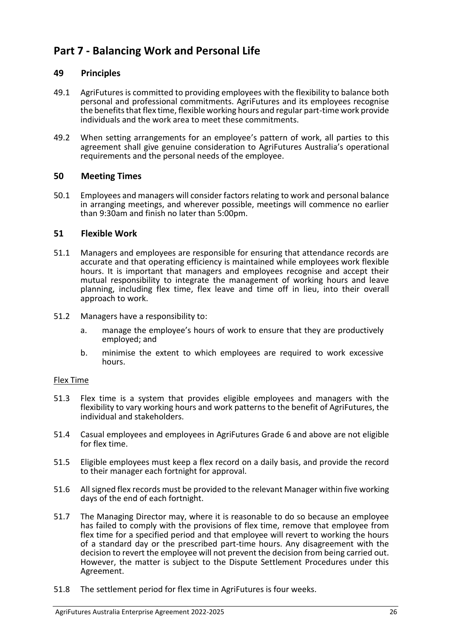# <span id="page-25-0"></span>**Part 7 - Balancing Work and Personal Life**

#### <span id="page-25-1"></span>**49 Principles**

- 49.1 AgriFutures is committed to providing employees with the flexibility to balance both personal and professional commitments. AgriFutures and its employees recognise the benefits that flex time, flexible working hours and regular part-time work provide individuals and the work area to meet these commitments.
- 49.2 When setting arrangements for an employee's pattern of work, all parties to this agreement shall give genuine consideration to AgriFutures Australia's operational requirements and the personal needs of the employee.

#### <span id="page-25-2"></span>**50 Meeting Times**

50.1 Employees and managers will consider factors relating to work and personal balance in arranging meetings, and wherever possible, meetings will commence no earlier than 9:30am and finish no later than 5:00pm.

#### <span id="page-25-3"></span>**51 Flexible Work**

- 51.1 Managers and employees are responsible for ensuring that attendance records are accurate and that operating efficiency is maintained while employees work flexible hours. It is important that managers and employees recognise and accept their mutual responsibility to integrate the management of working hours and leave planning, including flex time, flex leave and time off in lieu, into their overall approach to work.
- 51.2 Managers have a responsibility to:
	- a. manage the employee's hours of work to ensure that they are productively employed; and
	- b. minimise the extent to which employees are required to work excessive hours.

#### Flex Time

- 51.3 Flex time is a system that provides eligible employees and managers with the flexibility to vary working hours and work patterns to the benefit of AgriFutures, the individual and stakeholders.
- 51.4 Casual employees and employees in AgriFutures Grade 6 and above are not eligible for flex time.
- 51.5 Eligible employees must keep a flex record on a daily basis, and provide the record to their manager each fortnight for approval.
- 51.6 All signed flex records must be provided to the relevant Manager within five working days of the end of each fortnight.
- 51.7 The Managing Director may, where it is reasonable to do so because an employee has failed to comply with the provisions of flex time, remove that employee from flex time for a specified period and that employee will revert to working the hours of a standard day or the prescribed part-time hours. Any disagreement with the decision to revert the employee will not prevent the decision from being carried out. However, the matter is subject to the Dispute Settlement Procedures under this Agreement.
- 51.8 The settlement period for flex time in AgriFutures is four weeks.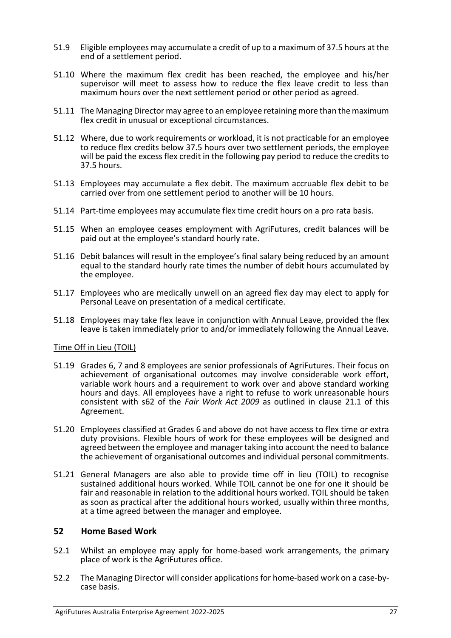- 51.9 Eligible employees may accumulate a credit of up to a maximum of 37.5 hours at the end of a settlement period.
- 51.10 Where the maximum flex credit has been reached, the employee and his/her supervisor will meet to assess how to reduce the flex leave credit to less than maximum hours over the next settlement period or other period as agreed.
- 51.11 The Managing Director may agree to an employee retaining more than the maximum flex credit in unusual or exceptional circumstances.
- 51.12 Where, due to work requirements or workload, it is not practicable for an employee to reduce flex credits below 37.5 hours over two settlement periods, the employee will be paid the excess flex credit in the following pay period to reduce the credits to 37.5 hours.
- 51.13 Employees may accumulate a flex debit. The maximum accruable flex debit to be carried over from one settlement period to another will be 10 hours.
- 51.14 Part-time employees may accumulate flex time credit hours on a pro rata basis.
- 51.15 When an employee ceases employment with AgriFutures, credit balances will be paid out at the employee's standard hourly rate.
- 51.16 Debit balances will result in the employee's final salary being reduced by an amount equal to the standard hourly rate times the number of debit hours accumulated by the employee.
- 51.17 Employees who are medically unwell on an agreed flex day may elect to apply for Personal Leave on presentation of a medical certificate.
- 51.18 Employees may take flex leave in conjunction with Annual Leave, provided the flex leave is taken immediately prior to and/or immediately following the Annual Leave.

#### Time Off in Lieu (TOIL)

- 51.19 Grades 6, 7 and 8 employees are senior professionals of AgriFutures. Their focus on achievement of organisational outcomes may involve considerable work effort, variable work hours and a requirement to work over and above standard working hours and days. All employees have a right to refuse to work unreasonable hours consistent with s62 of the *Fair Work Act 2009* as outlined in clause 21.1 of this Agreement.
- 51.20 Employees classified at Grades 6 and above do not have access to flex time or extra duty provisions. Flexible hours of work for these employees will be designed and agreed between the employee and manager taking into account the need to balance the achievement of organisational outcomes and individual personal commitments.
- 51.21 General Managers are also able to provide time off in lieu (TOIL) to recognise sustained additional hours worked. While TOIL cannot be one for one it should be fair and reasonable in relation to the additional hours worked. TOIL should be taken as soon as practical after the additional hours worked, usually within three months, at a time agreed between the manager and employee.

#### <span id="page-26-0"></span>**52 Home Based Work**

- 52.1 Whilst an employee may apply for home-based work arrangements, the primary place of work is the AgriFutures office.
- 52.2 The Managing Director will consider applications for home-based work on a case-bycase basis.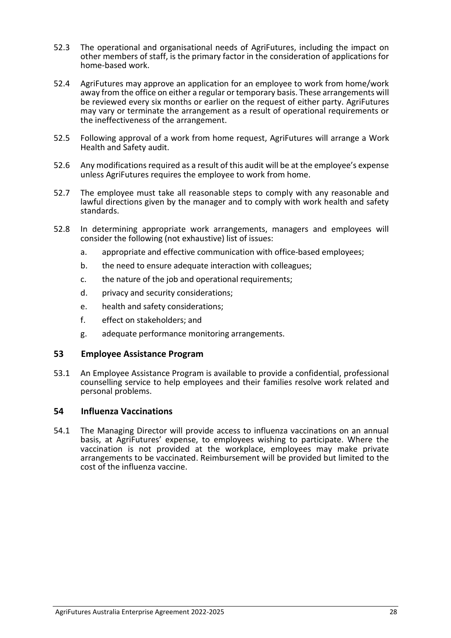- 52.3 The operational and organisational needs of AgriFutures, including the impact on other members of staff, is the primary factor in the consideration of applications for home-based work.
- 52.4 AgriFutures may approve an application for an employee to work from home/work away from the office on either a regular or temporary basis. These arrangements will be reviewed every six months or earlier on the request of either party. AgriFutures may vary or terminate the arrangement as a result of operational requirements or the ineffectiveness of the arrangement.
- 52.5 Following approval of a work from home request, AgriFutures will arrange a Work Health and Safety audit.
- 52.6 Any modifications required as a result of this audit will be at the employee's expense unless AgriFutures requires the employee to work from home.
- 52.7 The employee must take all reasonable steps to comply with any reasonable and lawful directions given by the manager and to comply with work health and safety standards.
- 52.8 In determining appropriate work arrangements, managers and employees will consider the following (not exhaustive) list of issues:
	- a. appropriate and effective communication with office-based employees;
	- b. the need to ensure adequate interaction with colleagues;
	- c. the nature of the job and operational requirements;
	- d. privacy and security considerations;
	- e. health and safety considerations;
	- f. effect on stakeholders; and
	- g. adequate performance monitoring arrangements.

#### <span id="page-27-0"></span>**53 Employee Assistance Program**

53.1 An Employee Assistance Program is available to provide a confidential, professional counselling service to help employees and their families resolve work related and personal problems.

#### <span id="page-27-1"></span>**54 Influenza Vaccinations**

54.1 The Managing Director will provide access to influenza vaccinations on an annual basis, at AgriFutures' expense, to employees wishing to participate. Where the vaccination is not provided at the workplace, employees may make private arrangements to be vaccinated. Reimbursement will be provided but limited to the cost of the influenza vaccine.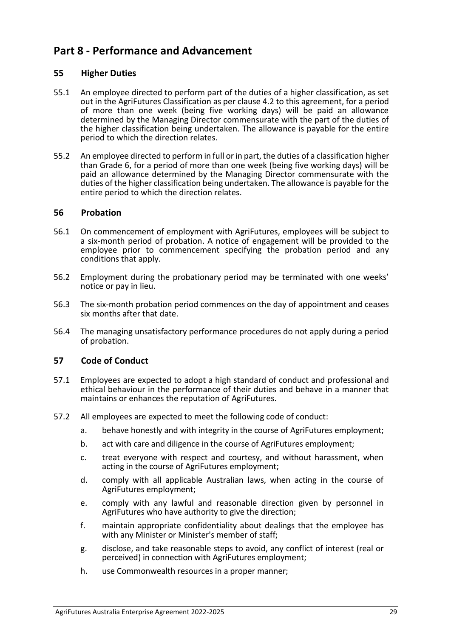# <span id="page-28-0"></span>**Part 8 - Performance and Advancement**

#### <span id="page-28-1"></span>**55 Higher Duties**

- 55.1 An employee directed to perform part of the duties of a higher classification, as set out in the AgriFutures Classification as per clause 4.2 to this agreement, for a period of more than one week (being five working days) will be paid an allowance determined by the Managing Director commensurate with the part of the duties of the higher classification being undertaken. The allowance is payable for the entire period to which the direction relates.
- 55.2 An employee directed to perform in full or in part, the duties of a classification higher than Grade 6, for a period of more than one week (being five working days) will be paid an allowance determined by the Managing Director commensurate with the duties of the higher classification being undertaken. The allowance is payable for the entire period to which the direction relates.

#### <span id="page-28-2"></span>**56 Probation**

- 56.1 On commencement of employment with AgriFutures, employees will be subject to a six-month period of probation. A notice of engagement will be provided to the employee prior to commencement specifying the probation period and any conditions that apply.
- 56.2 Employment during the probationary period may be terminated with one weeks' notice or pay in lieu.
- 56.3 The six-month probation period commences on the day of appointment and ceases six months after that date.
- 56.4 The managing unsatisfactory performance procedures do not apply during a period of probation.

#### <span id="page-28-3"></span>**57 Code of Conduct**

- 57.1 Employees are expected to adopt a high standard of conduct and professional and ethical behaviour in the performance of their duties and behave in a manner that maintains or enhances the reputation of AgriFutures.
- 57.2 All employees are expected to meet the following code of conduct:
	- a. behave honestly and with integrity in the course of AgriFutures employment;
	- b. act with care and diligence in the course of AgriFutures employment;
	- c. treat everyone with respect and courtesy, and without harassment, when acting in the course of AgriFutures employment;
	- d. comply with all applicable Australian laws, when acting in the course of AgriFutures employment;
	- e. comply with any lawful and reasonable direction given by personnel in AgriFutures who have authority to give the direction;
	- f. maintain appropriate confidentiality about dealings that the employee has with any Minister or Minister's member of staff;
	- g. disclose, and take reasonable steps to avoid, any conflict of interest (real or perceived) in connection with AgriFutures employment;
	- h. use Commonwealth resources in a proper manner;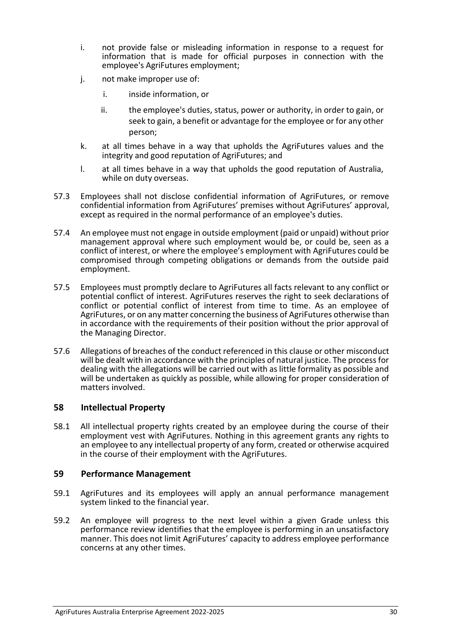- i. not provide false or misleading information in response to a request for information that is made for official purposes in connection with the employee's AgriFutures employment;
- j. not make improper use of:
	- i. inside information, or
	- ii. the employee's duties, status, power or authority, in order to gain, or seek to gain, a benefit or advantage for the employee or for any other person;
- k. at all times behave in a way that upholds the AgriFutures values and the integrity and good reputation of AgriFutures; and
- l. at all times behave in a way that upholds the good reputation of Australia, while on duty overseas.
- 57.3 Employees shall not disclose confidential information of AgriFutures, or remove confidential information from AgriFutures' premises without AgriFutures' approval, except as required in the normal performance of an employee's duties.
- 57.4 An employee must not engage in outside employment (paid or unpaid) without prior management approval where such employment would be, or could be, seen as a conflict of interest, or where the employee's employment with AgriFutures could be compromised through competing obligations or demands from the outside paid employment.
- 57.5 Employees must promptly declare to AgriFutures all facts relevant to any conflict or potential conflict of interest. AgriFutures reserves the right to seek declarations of conflict or potential conflict of interest from time to time. As an employee of AgriFutures, or on any matter concerning the business of AgriFutures otherwise than in accordance with the requirements of their position without the prior approval of the Managing Director.
- 57.6 Allegations of breaches of the conduct referenced in this clause or other misconduct will be dealt with in accordance with the principles of natural justice. The process for dealing with the allegations will be carried out with as little formality as possible and will be undertaken as quickly as possible, while allowing for proper consideration of matters involved.

#### <span id="page-29-0"></span>**58 Intellectual Property**

58.1 All intellectual property rights created by an employee during the course of their employment vest with AgriFutures. Nothing in this agreement grants any rights to an employee to any intellectual property of any form, created or otherwise acquired in the course of their employment with the AgriFutures.

#### <span id="page-29-1"></span>**59 Performance Management**

- 59.1 AgriFutures and its employees will apply an annual performance management system linked to the financial year.
- 59.2 An employee will progress to the next level within a given Grade unless this performance review identifies that the employee is performing in an unsatisfactory manner. This does not limit AgriFutures' capacity to address employee performance concerns at any other times.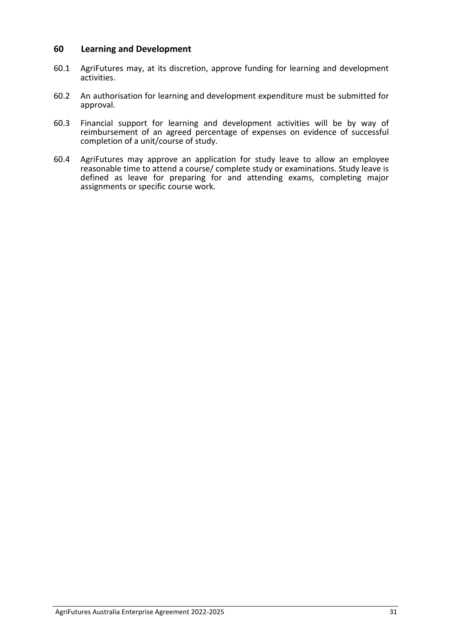#### <span id="page-30-0"></span>**60 Learning and Development**

- 60.1 AgriFutures may, at its discretion, approve funding for learning and development activities.
- 60.2 An authorisation for learning and development expenditure must be submitted for approval.
- 60.3 Financial support for learning and development activities will be by way of reimbursement of an agreed percentage of expenses on evidence of successful completion of a unit/course of study.
- 60.4 AgriFutures may approve an application for study leave to allow an employee reasonable time to attend a course/ complete study or examinations. Study leave is defined as leave for preparing for and attending exams, completing major assignments or specific course work.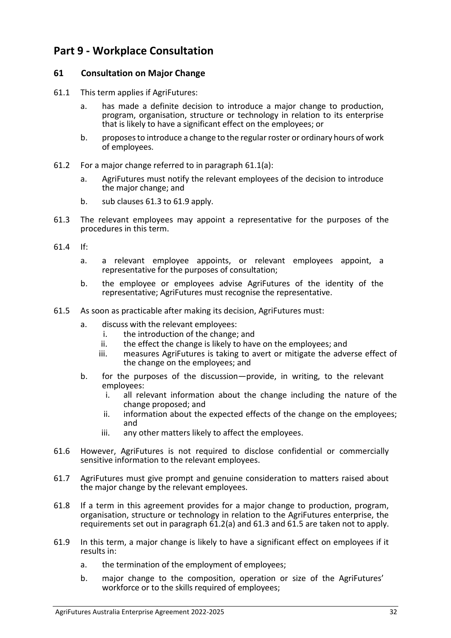# <span id="page-31-0"></span>**Part 9 - Workplace Consultation**

#### <span id="page-31-1"></span>**61 Consultation on Major Change**

- 61.1 This term applies if AgriFutures:
	- a. has made a definite decision to introduce a major change to production, program, organisation, structure or technology in relation to its enterprise that is likely to have a significant effect on the employees; or
	- b. proposes to introduce a change to the regular roster or ordinary hours of work of employees.
- 61.2 For a major change referred to in paragraph 61.1(a):
	- a. AgriFutures must notify the relevant employees of the decision to introduce the major change; and
	- b. sub clauses 61.3 to 61.9 apply.
- 61.3 The relevant employees may appoint a representative for the purposes of the procedures in this term.
- 61.4 If:
	- a. a relevant employee appoints, or relevant employees appoint, a representative for the purposes of consultation;
	- b. the employee or employees advise AgriFutures of the identity of the representative; AgriFutures must recognise the representative.
- 61.5 As soon as practicable after making its decision, AgriFutures must:
	- a. discuss with the relevant employees:
		- i. the introduction of the change; and<br>ii. the effect the change is likely to have
		- the effect the change is likely to have on the employees; and
		- iii. measures AgriFutures is taking to avert or mitigate the adverse effect of the change on the employees; and
	- b. for the purposes of the discussion—provide, in writing, to the relevant employees:
		- i. all relevant information about the change including the nature of the change proposed; and
		- ii. information about the expected effects of the change on the employees; and
		- iii. any other matters likely to affect the employees.
- 61.6 However, AgriFutures is not required to disclose confidential or commercially sensitive information to the relevant employees.
- 61.7 AgriFutures must give prompt and genuine consideration to matters raised about the major change by the relevant employees.
- 61.8 If a term in this agreement provides for a major change to production, program, organisation, structure or technology in relation to the AgriFutures enterprise, the requirements set out in paragraph 61.2(a) and 61.3 and 61.5 are taken not to apply.
- 61.9 In this term, a major change is likely to have a significant effect on employees if it results in:
	- a. the termination of the employment of employees;
	- b. major change to the composition, operation or size of the AgriFutures' workforce or to the skills required of employees;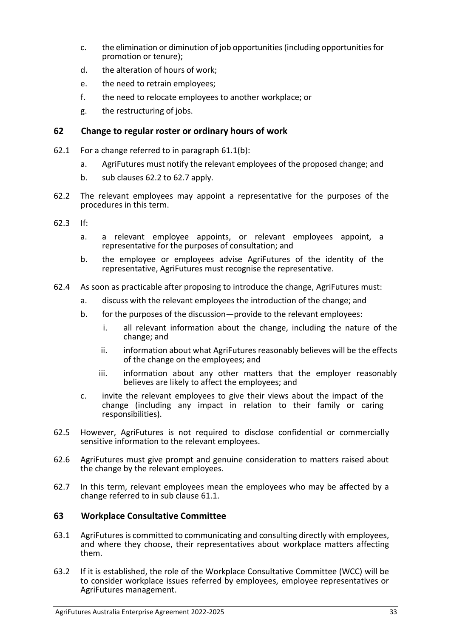- c. the elimination or diminution of job opportunities (including opportunities for promotion or tenure);
- d. the alteration of hours of work;
- e. the need to retrain employees;
- f. the need to relocate employees to another workplace; or
- g. the restructuring of jobs.

#### <span id="page-32-0"></span>**62 Change to regular roster or ordinary hours of work**

- 62.1 For a change referred to in paragraph 61.1(b):
	- a. AgriFutures must notify the relevant employees of the proposed change; and
	- b. sub clauses 62.2 to 62.7 apply.
- 62.2 The relevant employees may appoint a representative for the purposes of the procedures in this term.
- 62.3 If:
	- a. a relevant employee appoints, or relevant employees appoint, a representative for the purposes of consultation; and
	- b. the employee or employees advise AgriFutures of the identity of the representative, AgriFutures must recognise the representative.
- 62.4 As soon as practicable after proposing to introduce the change, AgriFutures must:
	- a. discuss with the relevant employees the introduction of the change; and
	- b. for the purposes of the discussion—provide to the relevant employees:
		- i. all relevant information about the change, including the nature of the change; and
		- ii. information about what AgriFutures reasonably believes will be the effects of the change on the employees; and
		- iii. information about any other matters that the employer reasonably believes are likely to affect the employees; and
	- c. invite the relevant employees to give their views about the impact of the change (including any impact in relation to their family or caring responsibilities).
- 62.5 However, AgriFutures is not required to disclose confidential or commercially sensitive information to the relevant employees.
- 62.6 AgriFutures must give prompt and genuine consideration to matters raised about the change by the relevant employees.
- 62.7 In this term, relevant employees mean the employees who may be affected by a change referred to in sub clause 61.1.

#### <span id="page-32-1"></span>**63 Workplace Consultative Committee**

- 63.1 AgriFutures is committed to communicating and consulting directly with employees, and where they choose, their representatives about workplace matters affecting them.
- 63.2 If it is established, the role of the Workplace Consultative Committee (WCC) will be to consider workplace issues referred by employees, employee representatives or AgriFutures management.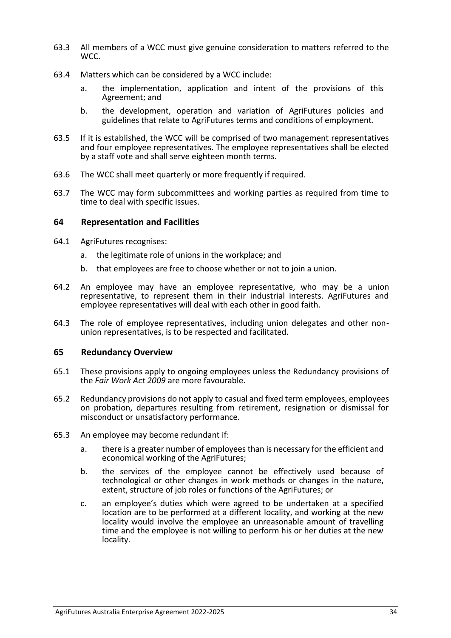- 63.3 All members of a WCC must give genuine consideration to matters referred to the WCC.
- 63.4 Matters which can be considered by a WCC include:
	- a. the implementation, application and intent of the provisions of this Agreement; and
	- b. the development, operation and variation of AgriFutures policies and guidelines that relate to AgriFutures terms and conditions of employment.
- 63.5 If it is established, the WCC will be comprised of two management representatives and four employee representatives. The employee representatives shall be elected by a staff vote and shall serve eighteen month terms.
- 63.6 The WCC shall meet quarterly or more frequently if required.
- 63.7 The WCC may form subcommittees and working parties as required from time to time to deal with specific issues.

#### <span id="page-33-0"></span>**64 Representation and Facilities**

- 64.1 AgriFutures recognises:
	- a. the legitimate role of unions in the workplace; and
	- b. that employees are free to choose whether or not to join a union.
- 64.2 An employee may have an employee representative, who may be a union representative, to represent them in their industrial interests. AgriFutures and employee representatives will deal with each other in good faith.
- 64.3 The role of employee representatives, including union delegates and other nonunion representatives, is to be respected and facilitated.

#### <span id="page-33-1"></span>**65 Redundancy Overview**

- 65.1 These provisions apply to ongoing employees unless the Redundancy provisions of the *Fair Work Act 2009* are more favourable.
- 65.2 Redundancy provisions do not apply to casual and fixed term employees, employees on probation, departures resulting from retirement, resignation or dismissal for misconduct or unsatisfactory performance.
- <span id="page-33-2"></span>65.3 An employee may become redundant if:
	- a. there is a greater number of employees than is necessary for the efficient and economical working of the AgriFutures;
	- b. the services of the employee cannot be effectively used because of technological or other changes in work methods or changes in the nature, extent, structure of job roles or functions of the AgriFutures; or
	- c. an employee's duties which were agreed to be undertaken at a specified location are to be performed at a different locality, and working at the new locality would involve the employee an unreasonable amount of travelling time and the employee is not willing to perform his or her duties at the new locality.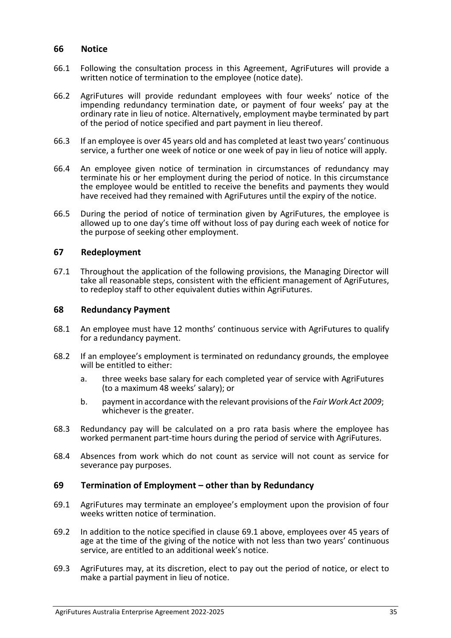#### **66 Notice**

- 66.1 Following the consultation process in this Agreement, AgriFutures will provide a written notice of termination to the employee (notice date).
- 66.2 AgriFutures will provide redundant employees with four weeks' notice of the impending redundancy termination date, or payment of four weeks' pay at the ordinary rate in lieu of notice. Alternatively, employment maybe terminated by part of the period of notice specified and part payment in lieu thereof.
- 66.3 If an employee is over 45 years old and has completed at least two years' continuous service, a further one week of notice or one week of pay in lieu of notice will apply.
- 66.4 An employee given notice of termination in circumstances of redundancy may terminate his or her employment during the period of notice. In this circumstance the employee would be entitled to receive the benefits and payments they would have received had they remained with AgriFutures until the expiry of the notice.
- 66.5 During the period of notice of termination given by AgriFutures, the employee is allowed up to one day's time off without loss of pay during each week of notice for the purpose of seeking other employment.

#### <span id="page-34-0"></span>**67 Redeployment**

67.1 Throughout the application of the following provisions, the Managing Director will take all reasonable steps, consistent with the efficient management of AgriFutures, to redeploy staff to other equivalent duties within AgriFutures.

#### <span id="page-34-1"></span>**68 Redundancy Payment**

- 68.1 An employee must have 12 months' continuous service with AgriFutures to qualify for a redundancy payment.
- 68.2 If an employee's employment is terminated on redundancy grounds, the employee will be entitled to either:
	- a. three weeks base salary for each completed year of service with AgriFutures (to a maximum 48 weeks' salary); or
	- b. payment in accordance with the relevant provisions of the *Fair Work Act 2009*; whichever is the greater.
- 68.3 Redundancy pay will be calculated on a pro rata basis where the employee has worked permanent part-time hours during the period of service with AgriFutures.
- 68.4 Absences from work which do not count as service will not count as service for severance pay purposes.

#### <span id="page-34-2"></span>**69 Termination of Employment – other than by Redundancy**

- 69.1 AgriFutures may terminate an employee's employment upon the provision of four weeks written notice of termination.
- 69.2 In addition to the notice specified in clause 69.1 above, employees over 45 years of age at the time of the giving of the notice with not less than two years' continuous service, are entitled to an additional week's notice.
- 69.3 AgriFutures may, at its discretion, elect to pay out the period of notice, or elect to make a partial payment in lieu of notice.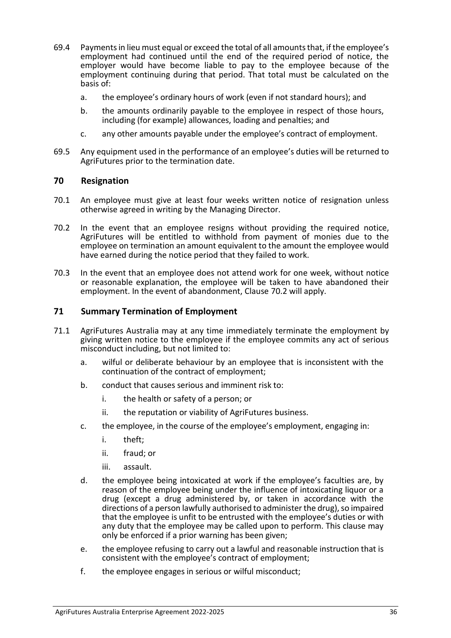- 69.4 Payments in lieu must equal or exceed the total of all amounts that, if the employee's employment had continued until the end of the required period of notice, the employer would have become liable to pay to the employee because of the employment continuing during that period. That total must be calculated on the basis of:
	- a. the employee's ordinary hours of work (even if not standard hours); and
	- b. the amounts ordinarily payable to the employee in respect of those hours, including (for example) allowances, loading and penalties; and
	- c. any other amounts payable under the employee's contract of employment.
- 69.5 Any equipment used in the performance of an employee's duties will be returned to AgriFutures prior to the termination date.

#### <span id="page-35-0"></span>**70 Resignation**

- 70.1 An employee must give at least four weeks written notice of resignation unless otherwise agreed in writing by the Managing Director.
- 70.2 In the event that an employee resigns without providing the required notice, AgriFutures will be entitled to withhold from payment of monies due to the employee on termination an amount equivalent to the amount the employee would have earned during the notice period that they failed to work.
- 70.3 In the event that an employee does not attend work for one week, without notice or reasonable explanation, the employee will be taken to have abandoned their employment. In the event of abandonment, Clause 70.2 will apply.

#### <span id="page-35-1"></span>**71 Summary Termination of Employment**

- 71.1 AgriFutures Australia may at any time immediately terminate the employment by giving written notice to the employee if the employee commits any act of serious misconduct including, but not limited to:
	- a. wilful or deliberate behaviour by an employee that is inconsistent with the continuation of the contract of employment;
	- b. conduct that causes serious and imminent risk to:
		- i. the health or safety of a person; or
		- ii. the reputation or viability of AgriFutures business.
	- c. the employee, in the course of the employee's employment, engaging in:
		- i. theft;
		- ii. fraud; or
		- iii. assault.
	- d. the employee being intoxicated at work if the employee's faculties are, by reason of the employee being under the influence of intoxicating liquor or a drug (except a drug administered by, or taken in accordance with the directions of a person lawfully authorised to administer the drug), so impaired that the employee is unfit to be entrusted with the employee's duties or with any duty that the employee may be called upon to perform. This clause may only be enforced if a prior warning has been given;
	- e. the employee refusing to carry out a lawful and reasonable instruction that is consistent with the employee's contract of employment;
	- f. the employee engages in serious or wilful misconduct;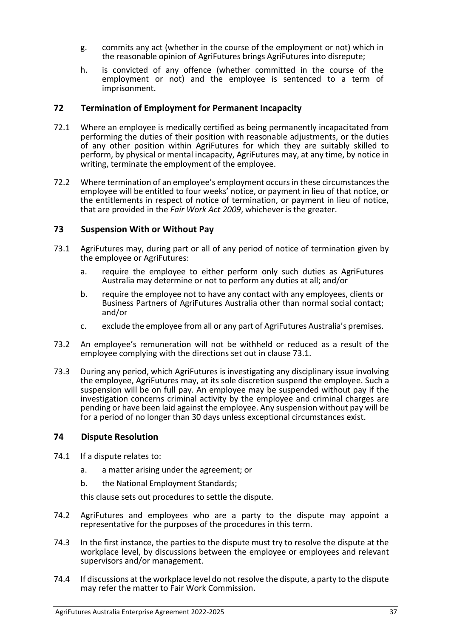- g. commits any act (whether in the course of the employment or not) which in the reasonable opinion of AgriFutures brings AgriFutures into disrepute;
- h. is convicted of any offence (whether committed in the course of the employment or not) and the employee is sentenced to a term of imprisonment.

#### <span id="page-36-0"></span>**72 Termination of Employment for Permanent Incapacity**

- 72.1 Where an employee is medically certified as being permanently incapacitated from performing the duties of their position with reasonable adjustments, or the duties of any other position within AgriFutures for which they are suitably skilled to perform, by physical or mental incapacity, AgriFutures may, at any time, by notice in writing, terminate the employment of the employee.
- 72.2 Where termination of an employee's employment occurs in these circumstances the employee will be entitled to four weeks' notice, or payment in lieu of that notice, or the entitlements in respect of notice of termination, or payment in lieu of notice, that are provided in the *Fair Work Act 2009*, whichever is the greater.

#### <span id="page-36-1"></span>**73 Suspension With or Without Pay**

- 73.1 AgriFutures may, during part or all of any period of notice of termination given by the employee or AgriFutures:
	- a. require the employee to either perform only such duties as AgriFutures Australia may determine or not to perform any duties at all; and/or
	- b. require the employee not to have any contact with any employees, clients or Business Partners of AgriFutures Australia other than normal social contact; and/or
	- c. exclude the employee from all or any part of AgriFutures Australia's premises.
- 73.2 An employee's remuneration will not be withheld or reduced as a result of the employee complying with the directions set out in clause 73.1.
- 73.3 During any period, which AgriFutures is investigating any disciplinary issue involving the employee, AgriFutures may, at its sole discretion suspend the employee. Such a suspension will be on full pay. An employee may be suspended without pay if the investigation concerns criminal activity by the employee and criminal charges are pending or have been laid against the employee. Any suspension without pay will be for a period of no longer than 30 days unless exceptional circumstances exist.

#### <span id="page-36-2"></span>**74 Dispute Resolution**

- 74.1 If a dispute relates to:
	- a. a matter arising under the agreement; or
	- b. the National Employment Standards;

this clause sets out procedures to settle the dispute.

- 74.2 AgriFutures and employees who are a party to the dispute may appoint a representative for the purposes of the procedures in this term.
- 74.3 In the first instance, the parties to the dispute must try to resolve the dispute at the workplace level, by discussions between the employee or employees and relevant supervisors and/or management.
- 74.4 If discussions at the workplace level do not resolve the dispute, a party to the dispute may refer the matter to Fair Work Commission.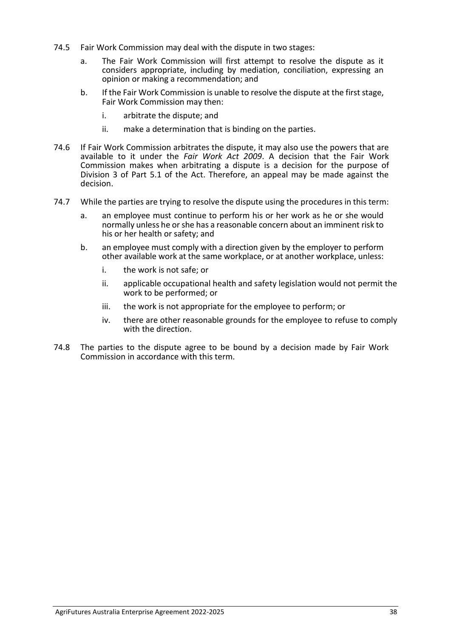- 74.5 Fair Work Commission may deal with the dispute in two stages:
	- a. The Fair Work Commission will first attempt to resolve the dispute as it considers appropriate, including by mediation, conciliation, expressing an opinion or making a recommendation; and
	- b. If the Fair Work Commission is unable to resolve the dispute at the first stage, Fair Work Commission may then:
		- i. arbitrate the dispute; and
		- ii. make a determination that is binding on the parties.
- 74.6 If Fair Work Commission arbitrates the dispute, it may also use the powers that are available to it under the *Fair Work Act 2009*. A decision that the Fair Work Commission makes when arbitrating a dispute is a decision for the purpose of Division 3 of Part 5.1 of the Act. Therefore, an appeal may be made against the decision.
- 74.7 While the parties are trying to resolve the dispute using the procedures in this term:
	- a. an employee must continue to perform his or her work as he or she would normally unless he or she has a reasonable concern about an imminent risk to his or her health or safety; and
	- b. an employee must comply with a direction given by the employer to perform other available work at the same workplace, or at another workplace, unless:
		- i. the work is not safe; or
		- ii. applicable occupational health and safety legislation would not permit the work to be performed; or
		- iii. the work is not appropriate for the employee to perform; or
		- iv. there are other reasonable grounds for the employee to refuse to comply with the direction.
- 74.8 The parties to the dispute agree to be bound by a decision made by Fair Work Commission in accordance with this term.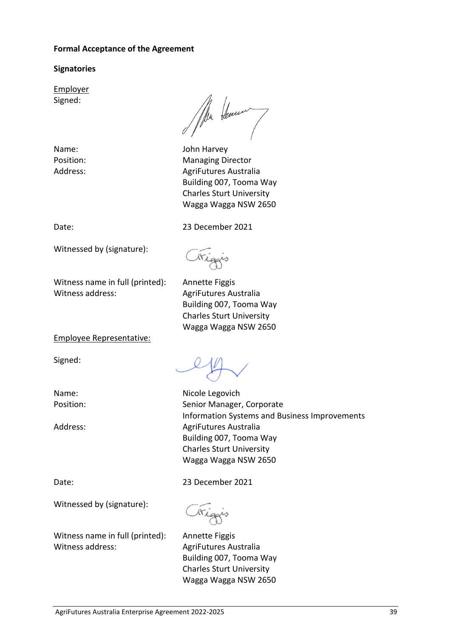#### **Formal Acceptance of the Agreement**

#### **Signatories**

Employer Signed:

Ma Hennen

Name: John Harvey Position: Managing Director Address: AgriFutures Australia Building 007, Tooma Way Charles Sturt University Wagga Wagga NSW 2650

Date: 23 December 2021

Witnessed by (signature):

Witness name in full (printed): Annette Figgis Witness address: AgriFutures Australia

Triggis Building 007, Tooma Way

Charles Sturt University Wagga Wagga NSW 2650

Employee Representative:

Signed:

Name: Nicole Legovich Position: Senior Manager, Corporate Information Systems and Business Improvements Address: AgriFutures Australia Building 007, Tooma Way Charles Sturt University Wagga Wagga NSW 2650

Date: 23 December 2021

Witnessed by (signature):

Triggis

Witness name in full (printed): Annette Figgis Witness address: AgriFutures Australia

Building 007, Tooma Way Charles Sturt University Wagga Wagga NSW 2650